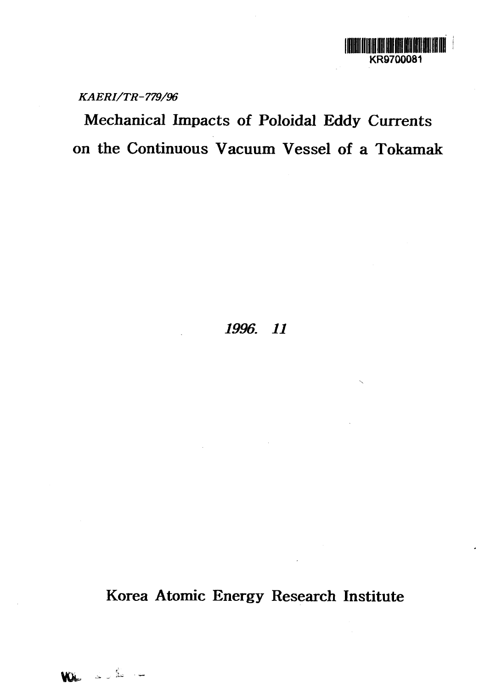

*KAERI/TR-779/96*

**Mechanical Impacts of Poloidal Eddy Currents on the Continuous Vacuum Vessel of a Tokamak**

## *1996. 11*

**Korea Atomic Energy Research Institute**

**VOL** & de -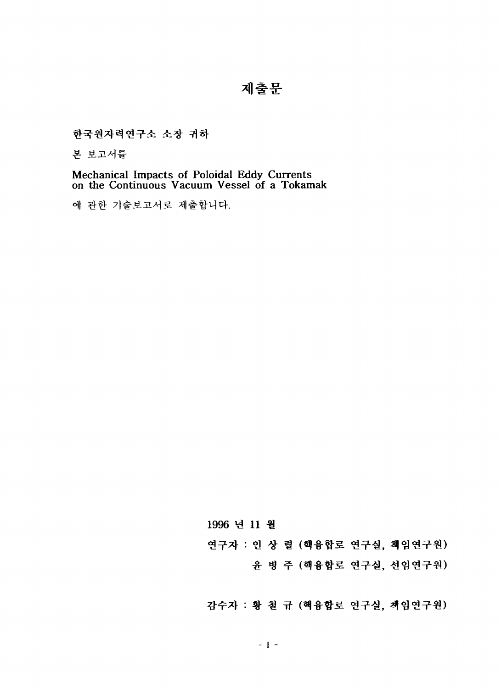# 제출문

한국원자력연구소 소장 귀하

본 보고서를

Mechanical Impacts of Poloidal Eddy Currents<br>on the Continuous Vacuum Vessel of a Tokamak

에 관한 기술보고서로 제출합니다.

1996 년 11 월

연구자 : 인 상 렬 (핵융합로 연구실, 책임연구원)

윤 병 주 (핵융합로 연구실, 선임연구원)

감수자 : 황 철 규 (핵융합로 연구실, 책임연구원)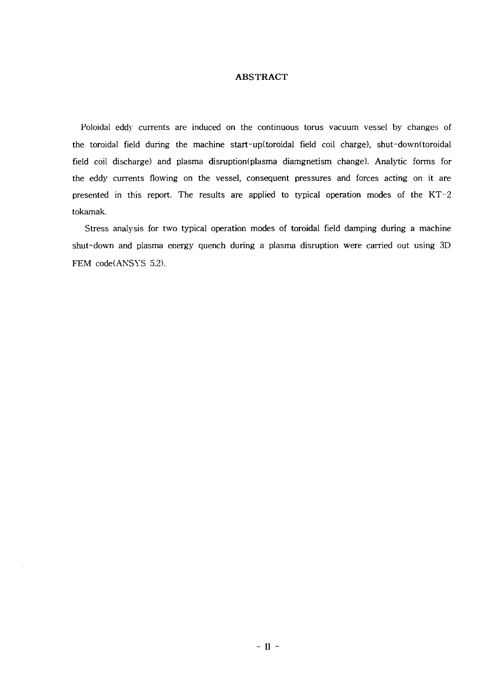## **ABSTRACT**

Poloidal eddy currents are induced on the continuous torus vacuum vessel by changes of the toroidal field during the machine start-up(toroidal field coil charge), shut-down(toroidal field coil discharge) and plasma disruption(plasma diamgnetism change). Analytic forms for the eddy currents flowing on the vessel, consequent pressures and forces acting on it are presented in this report. The results are applied to typical operation modes of the KT-2 tokamak.

Stress analysis for two typical operation modes of toroidal field damping during a machine shut-down and plasma energy quench during a plasma disruption were carried out using 3D FEM code(ANSYS 5.2).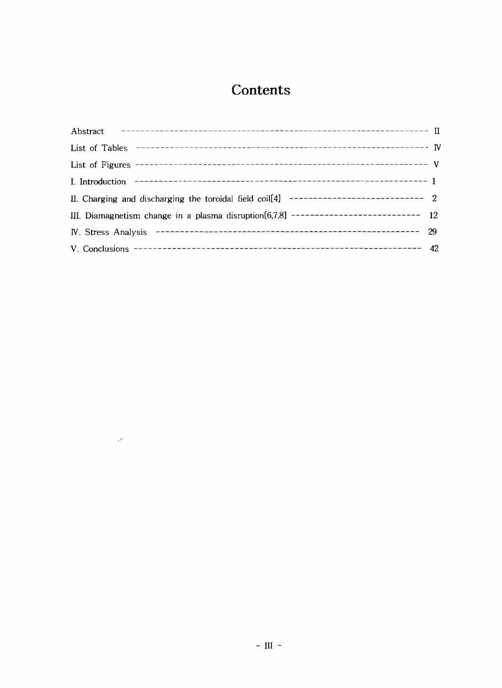# **Contents**

| II. Charging and discharging the toroidal field coil[4] ----------------------------- 2    |  |
|--------------------------------------------------------------------------------------------|--|
| III. Diamagnetism change in a plasma disruption $[6,7,8]$ ----------------------------- 12 |  |
|                                                                                            |  |
|                                                                                            |  |

 $\mathcal{L}^{\text{max}}_{\text{max}}$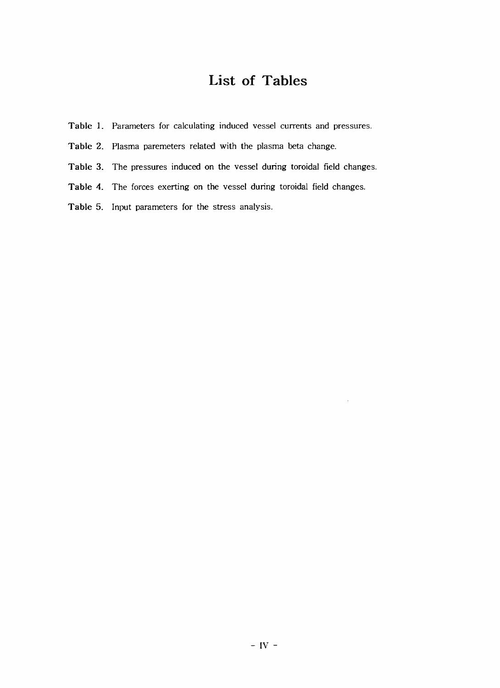# List of Tables

- **Table** 1. Parameters for calculating induced vessel currents and pressures.
- **Table 2.** Plasma paremeters related with the plasma beta change.
- **Table 3.** The pressures induced on the vessel during toroidal field changes.
- **Table 4.** The forces exerting on the vessel during toroidal field changes.
- **Table** 5. Input parameters for the stress analysis.

 $\sim$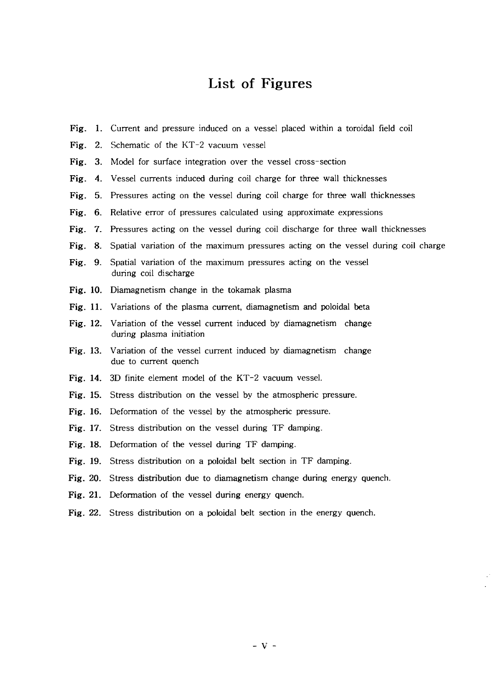## List of Figures

- Fig. 1. Current and pressure induced on a vessel placed within a toroidal field coil
- **Fig.** 2. Schematic of the KT-2 vacuum vessel
- **Fig.** 3. Model for surface integration over the vessel cross-section
- **Fig.** 4. Vessel currents induced during coil charge for three wall thicknesses
- **Fig.** 5. Pressures acting on the vessel during coil charge for three wall thicknesses
- **Fig.** 6. Relative error of pressures calculated using approximate expressions
- **Fig.** 7. Pressures acting on the vessel during coil discharge for three wall thicknesses
- **Fig.** 8. Spatial variation of the maximum pressures acting on the vessel during coil charge
- Fig. 9. Spatial variation of the maximum pressures acting on the vessel during coil discharge
- **Fig.** 10. Diamagnetism change in the tokamak plasma
- **Fig.** 11. Variations of the plasma current, diamagnetism and poloidal beta
- Fig. 12. Variation of the vessel current induced by diamagnetism change during plasma initiation
- **Fig.** 13. Variation of the vessel current induced by diamagnetism change due to current quench
- Fig. 14. 3D finite element model of the KT-2 vacuum vessel.
- **Fig.** 15. Stress distribution on the vessel by the atmospheric pressure.
- Fig. 16. Deformation of the vessel by the atmospheric pressure.
- **Fig.** 17. Stress distribution on the vessel during TF damping.
- **Fig.** 18. Deformation of the vessel during TF damping.
- **Fig.** 19. Stress distribution on a poloidal belt section in TF damping.
- Fig. 20. Stress distribution due to diamagnetism change during energy quench.
- Fig. 21. Deformation of the vessel during energy quench.
- Fig. 22. Stress distribution on a poloidal belt section in the energy quench.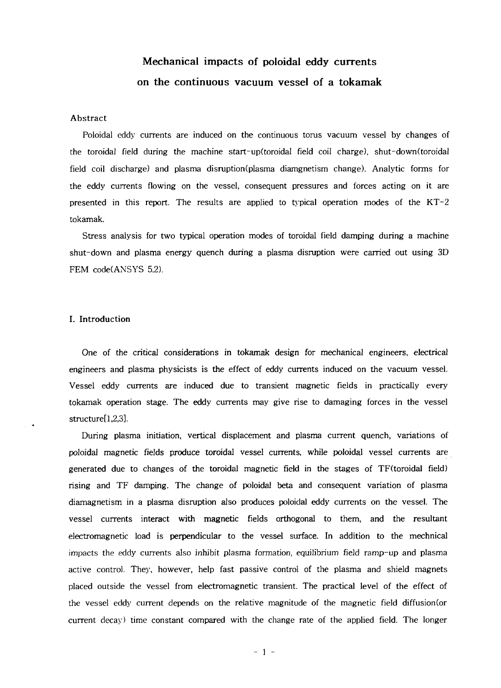## Mechanical impacts of poloidal eddy currents on the continuous vacuum vessel of a tokamak

### Abstract

Poloidal eddy currents are induced on the continuous torus vacuum vessel by changes of the toroidal field during the machine start-up(toroidal field coil charge), shut-down(toroidal field coil discharge) and plasma disruption(plasma diamgnetism change). Analytic forms for the eddy currents flowing on the vessel, consequent pressures and forces acting on it are presented in this report. The results are applied to typical operation modes of the KT-2 tokamak.

Stress analysis for two typical operation modes of toroidal field damping during a machine shut-down and plasma energy quench during a plasma disruption were carried out using 3D FEM code(ANSYS 5.2).

#### I. Introduction

One of the critical considerations in tokamak design for mechanical engineers, electrical engineers and plasma physicists is the effect of eddy currents induced on the vacuum vessel. Vessel eddy currents are induced due to transient magnetic fields in practically every tokamak operation stage. The eddy currents may give rise to damaging forces in the vessel structure[l,2,3].

During plasma initiation, vertical displacement and plasma current quench, variations of poloidal magnetic fields produce toroidal vessel currents, while poloidal vessel currents are generated due to changes of the toroidal magnetic field in the stages of TF(toroidal field) rising and TF damping. The change of poloidal beta and consequent variation of plasma diamagnetism in a plasma disruption also produces poloidal eddy currents on the vessel. The vessel currents interact with magnetic fields orthogonal to them, and the resultant electromagnetic load is perpendicular to the vessel surface. In addition to the mechnical impacts the eddy currents also inhibit plasma formation, equilibrium field ramp-up and plasma active control. They, however, help fast passive control of the plasma and shield magnets placed outside the vessel from electromagnetic transient. The practical level of the effect of the vessel eddy current depends on the relative magnitude of the magnetic field diffusion(or current decay) time constant compared with the change rate of the applied field. The longer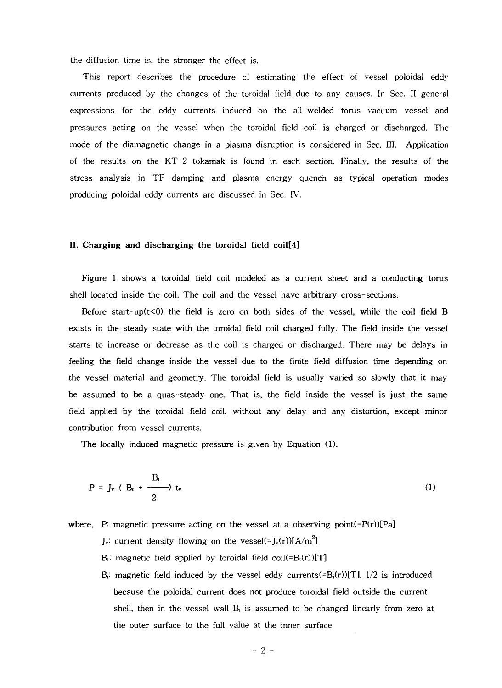the diffusion time is, the stronger the effect is.

This report describes the procedure of estimating the effect of vessel poloidal eddy currents produced by the changes of the toroidal field due to any causes. In Sec. II general expressions for the eddy currents induced on the all-welded torus vacuum vessel and pressures acting on the vessel when the toroidal field coil is charged or discharged. The mode of the diamagnetic change in a plasma disruption is considered in Sec. III. Application of the results on the KT-2 tokamak is found in each section. Finally, the results of the stress analysis in TF damping and plasma energy quench as typical operation modes producing poloidal eddy currents are discussed in Sec. IV.

#### **II. Charging and discharging the toroidal field coil[4]**

Figure 1 shows a toroidal field coil modeled as a current sheet and a conducting torus shell located inside the coil. The coil and the vessel have arbitrary cross-sections.

Before start-up( $t$ <0) the field is zero on both sides of the vessel, while the coil field B exists in the steady state with the toroidal field coil charged fully. The field inside the vessel starts to increase or decrease as the coil is charged or discharged. There may be delays in feeling the field change inside the vessel due to the finite field diffusion time depending on the vessel material and geometry. The toroidal field is usually varied so slowly that it may be assumed to be a quas-steady one. That is, the field inside the vessel is just the same field applied by the toroidal field coil, without any delay and any distortion, except minor contribution from vessel currents.

The locally induced magnetic pressure is given by Equation (1).

$$
P = J_v \left( B_t + \frac{B_i}{2} \right) t_v \tag{1}
$$

## where, P: magnetic pressure acting on the vessel at a observing point(= $P(r)$ )[Pa]

- $J_v$ : current density flowing on the vessel $(\equiv J_v(r))[A/m^2]$
- $B_t$ : magnetic field applied by toroidal field coil(= $B_t(r)[T]$
- $B_i$ : magnetic field induced by the vessel eddy currents(= $B_i(r)[T]$ ,  $1/2$  is introduced because the poloidal current does not produce toroidal field outside the current shell, then in the vessel wall  $B_i$  is assumed to be changed linearly from zero at the outer surface to the full value at the inner surface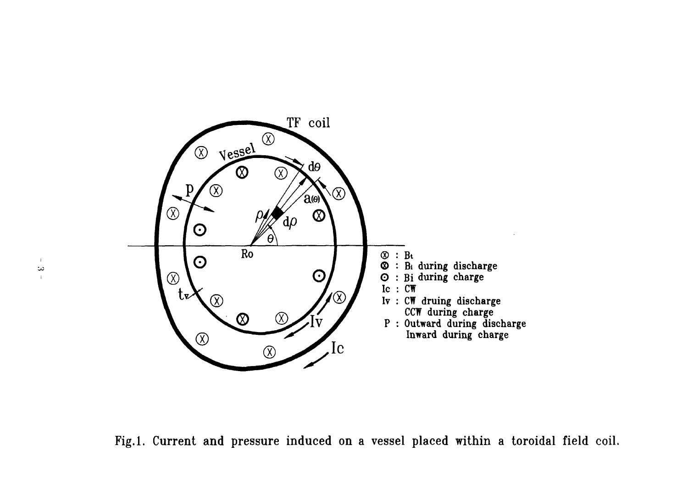

Fig.l. Current and pressure induced on a vessel placed within a toroidal field coil.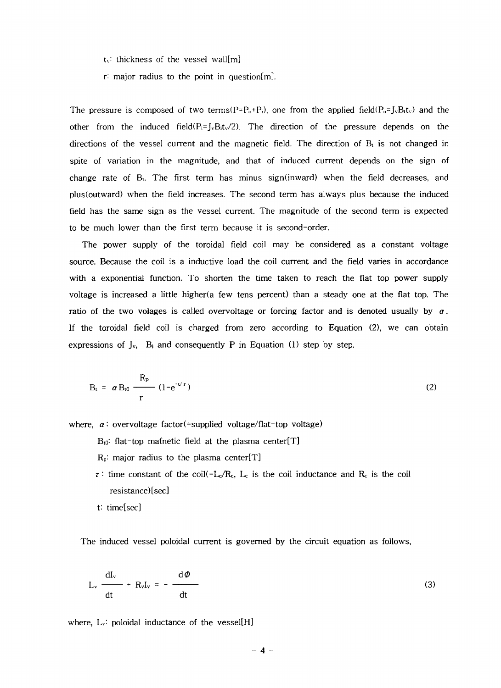$t_v$ : thickness of the vessel wall[m]

r: major radius to the point in questionfm].

The pressure is composed of two terms( $P=P_0+P_1$ ), one from the applied field( $P_0=J_0B_1t_0$ ) and the other from the induced field $(P_i=J_vB_i t_v/2)$ . The direction of the pressure depends on the directions of the vessel current and the magnetic field. The direction of  $B_t$  is not changed in spite of variation in the magnitude, and that of induced current depends on the sign of change rate of B<sub>t</sub>. The first term has minus sign(inward) when the field decreases, and plus(outward) when the field increases. The second term has always plus because the induced field has the same sign as the vessel current. The magnitude of the second term is expected to be much lower than the first term because it is second-order.

The power supply of the toroidal field coil may be considered as a constant voltage source. Because the coil is a inductive load the coil current and the field varies in accordance with a exponential function. To shorten the time taken to reach the flat top power supply voltage is increased a little higher(a few tens percent) than a steady one at the flat top. The ratio of the two volages is called overvoltage or forcing factor and is denoted usually by  $\alpha$ . If the toroidal field coil is charged from zero according to Equation (2), we can obtain expressions of  $J_v$ ,  $B_i$  and consequently P in Equation (1) step by step.

$$
B_t = \alpha B_{t0} \frac{R_p}{r} (1 - e^{-t/r})
$$
 (2)

where,  $\alpha$ : overvoltage factor(=supplied voltage/flat-top voltage)

- $B_{10}$ : flat-top mafnetic field at the plasma center[T]
- $R_p$ : major radius to the plasma center[T]
- $\tau$ <sup>:</sup> time constant of the coil(=L<sub>c</sub>/R<sub>c</sub>, L<sub>c</sub> is the coil inductance and R<sub>c</sub> is the coil resistance)[sec]

t: time[sec]

The induced vessel poloidal current is governed by the circuit equation as follows,

$$
L_{v} \frac{dl_{v}}{dt} + R_{v}I_{v} = -\frac{d\Phi}{dt}
$$
 (3)

where, *Lv'* poloidal inductance of the vessel[H]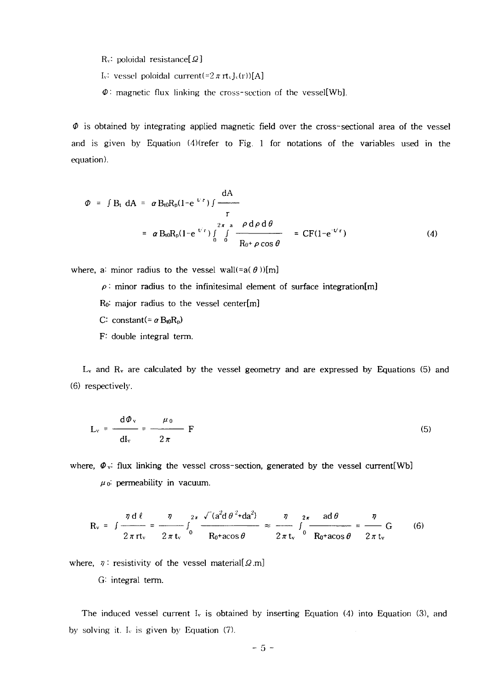$R_v$ : poloidal resistance[ $\Omega$ ]

- I<sub>v</sub>: vessel poloidal current(=2 $\pi$ rt<sub>v</sub>J<sub>v</sub>(r))[A]
- $\Phi$ : magnetic flux linking the cross-section of the vessel[Wb].

*0* is obtained by integrating applied magnetic field over the cross-sectional area of the vessel and is given by Equation (4)(refer to Fig. 1 for notations of the variables used in the equation).

$$
\varPhi = \int B_t \, dA = \alpha B_{t0} R_p (1 - e^{U \, r}) \int \frac{dA}{r}
$$
  
=  $\alpha B_{t0} R_p (1 - e^{U \, r}) \int_0^{2\pi} \int_0^a \frac{\rho \, d\rho \, d\theta}{R_0 + \rho \cos \theta} = C F (1 - e^{-U \, r})$  (4)

where, a: minor radius to the vessel wall(= $a(\theta)$ )[m]

 $\rho$  : minor radius to the infinitesimal element of surface integration[m]

 $R_0$ : major radius to the vessel center $[m]$ 

- *C*: constant(=  $\alpha$  B<sub>t0</sub>R<sub>p</sub>)
- F: double integral term.

 $L_v$  and  $R_v$  are calculated by the vessel geometry and are expressed by Equations (5) and (6) respectively.

$$
L_{v} = \frac{d\Phi_{v}}{dl_{v}} = \frac{\mu_0}{2\pi} F
$$
 (5)

where,  $\Phi_{v}$ : flux linking the vessel cross-section, generated by the vessel current [Wb]  $\mu$ <sup>0</sup>: permeability in vacuum.

$$
R_v = \int \frac{\eta d\ell}{2\pi r t_v} = \frac{\eta}{2\pi t_v} \int_0^{2\pi} \frac{\sqrt{(a^2 d\theta)^2 + da^2}}{R_0 + a\cos\theta} \approx \frac{\eta}{2\pi t_v} \int_0^{2\pi} \frac{ad\theta}{R_0 + a\cos\theta} = \frac{\eta}{2\pi t_v} G \qquad (6)
$$

where,  $\eta$ : resistivity of the vessel material[ $\Omega$ .m]

G: integral term.

The induced vessel current  $I_v$  is obtained by inserting Equation (4) into Equation (3), and by solving it.  $I_v$  is given by Equation (7).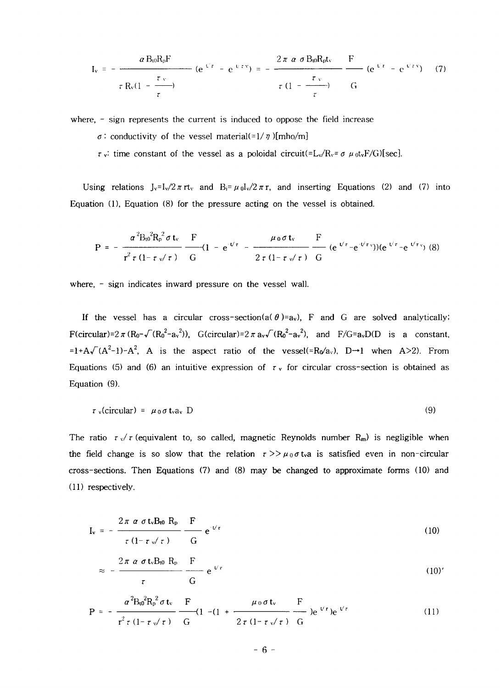$$
I_v = -\frac{\alpha B_0 R_p F}{\tau R_v (1 - \frac{\tau_v}{\tau})} \quad (e^{t/\tau} - e^{t/\tau v}) = -\frac{2\pi \alpha \sigma B_0 R_p t_v}{\tau (1 - \frac{\tau_v}{\tau})} \quad \frac{F}{G} \quad (e^{t/\tau} - e^{t/\tau v}) \tag{7}
$$

where, - sign represents the current is induced to oppose the field increase

- $\sigma$ : conductivity of the vessel material(=1/ $\eta$ )[mho/m]
- $\tau$  v<sup>:</sup> time constant of the vessel as a poloidal circuit(=L<sub>v</sub>/R<sub>v</sub>=  $\sigma$   $\mu$ <sub>0</sub>t<sub>v</sub>F/G)[sec].

Using relations  $J_v=I_v/2\pi r$  and  $B_i=\mu_0I_v/2\pi r$ , and inserting Equations (2) and (7) into Equation (1), Equation (8) for the pressure acting on the vessel is obtained.

$$
P = -\frac{\alpha^{2}B_{0}^{2}R_{p}^{2}\sigma t_{v}}{r^{2}\tau(1-\tau\sqrt{\tau})}\frac{F}{G}(1-e^{-t/\tau}-\frac{\mu_{0}\sigma t_{v}}{2\tau(1-\tau\sqrt{\tau})}\frac{F}{G}(e^{-t/\tau}-e^{-t/\tau_{v}}))(e^{-t/\tau}-e^{-t/\tau_{v}})
$$
(8)

where, - sign indicates inward pressure on the vessel wall.

If the vessel has a circular cross-section(a( $\theta$ )=av), F and G are solved analytically;  $F(circular)=2 \pi (R_0 - \sqrt{(R_0^2-a_v^2)})$ ,  $G(circular)=2 \pi a_v\sqrt{(R_0^2-a_v^2})$ , and  $F/G=a_vD(D$  is a constant, =1+A $\sqrt{(A^2-1)}-A^2$ , A is the aspect ratio of the vessel(=R<sub>0</sub>/a<sub>v</sub>), D→1 when A>2). From Equations (5) and (6) an intuitive expression of  $\tau$  v for circular cross-section is obtained as Equation (9).

$$
\tau_{\nu}(\text{circular}) = \mu_0 \sigma \, t_{\nu} a_{\nu} \, D \tag{9}
$$

The ratio  $\tau \sqrt{\tau}$  (equivalent to, so called, magnetic Reynolds number  $R_m$ ) is negligible when the field change is so slow that the relation  $\tau >> \mu_0 \sigma$  t<sub>v</sub>a is satisfied even in non-circular cross-sections. Then Equations (7) and (8) may be changed to approximate forms (10) and (11) respectively.

$$
I_{v} = -\frac{2\pi \alpha \sigma t_{v} B_{t0} R_{p}}{\tau (1 - \tau \sqrt{\tau})} \frac{F}{G} e^{-t/\tau}
$$
 (10)

$$
\approx -\frac{2\pi \alpha \sigma t_v B_0 R_p}{\tau} \frac{F}{G} e^{V\tau}
$$
 (10)'

$$
P = -\frac{\alpha^{2}B_{\theta}^{2}R_{p}^{2}\sigma t_{v}}{r^{2}\tau(1-\tau\sqrt{\tau})}\frac{F}{G}(1-(1+\frac{\mu_{0}\sigma t_{v}}{2\tau(1-\tau\sqrt{\tau})})e^{\nu\tau})e^{\nu\tau}
$$
(11)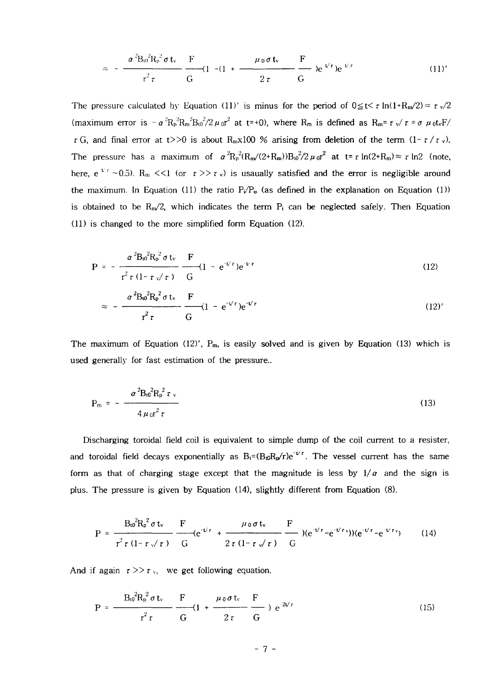$$
\approx -\frac{\alpha^2 B_0^2 R_p^2 \sigma t_v}{r^2 \tau} \frac{F}{G} (1 - (1 + \frac{\mu_0 \sigma t_v}{2 \tau}) e^{V \tau}) e^{V \tau}
$$
 (11)'

The pressure calculated by Equation (11)' is minus for the period of  $0 \le t < \tau \ln(1+R_m/2) \approx \tau \sqrt{2}$ (maximum error is  $-\alpha^2 R_p^2 R_m^2 B_0^2 / 2 \mu_0 r^2$  at t=+0), where  $R_m$  is defined as  $R_m$ =  $\tau$  v/ $\tau$  =  $\sigma$   $\mu_0 t$  vF/  $\tau$ G, and final error at t>>0 is about R<sub>n</sub>x100 % arising from deletion of the term  $(1-\tau/\tau)$ . The pressure has a maximum of  $\alpha^2 R_p^{2}(R_m/(2+R_m))B_0^{2}/2 \mu_0 r^2$  at t=  $r \ln(2+R_m) \approx r \ln 2$  (note, here, e<sup> $\tau$ </sup> ~0.5). R<sub>m</sub> <<1 (or  $\tau$  >>  $\tau$  v) is usaually satisfied and the error is negligible around the maximum. In Equation (11) the ratio  $P_{\ell}P_{o}$  (as defined in the explanation on Equation (1)) is obtained to be  $R_m/2$ , which indicates the term  $P_i$  can be neglected safely. Then Equation (11) is changed to the more simplified form Equation (12).

$$
P = -\frac{\alpha^2 B_0^2 R_p^2 \sigma t_v}{r^2 \tau (1 - \tau \sqrt{\tau})} \frac{F}{G} (1 - e^{-t/\tau}) e^{-t/\tau}
$$
(12)  

$$
\alpha^2 B_0^2 R_p^2 \sigma t_v \frac{F}{F}
$$

$$
\approx -\frac{\alpha^2 B_0^2 R_p^2 \sigma t_v}{r^2 \tau} \frac{F}{G} (1 - e^{-t/\tau}) e^{-t/\tau}
$$
 (12)'

The maximum of Equation (12)',  $P_m$ , is easily solved and is given by Equation (13) which is used generally for fast estimation of the pressure..

$$
P_{m} = -\frac{\alpha^{2}B_{0}^{2}R_{p}^{2}\tau_{v}}{4\mu_{0}r^{2}\tau}
$$
 (13)

Discharging toroidal field coil is equivalent to simple dump of the coil current to a resister, and toroidal field decays exponentially as  $B_t$ =( $B_{t0}R_p/r$ )e<sup>- $t/r$ </sup>. The vessel current has the same form as that of charging stage except that the magnitude is less by  $1/a$  and the sign is plus. The pressure is given by Equation (14), slightly different from Equation (8).

$$
P = \frac{B_0^2 R_p^2 \sigma t_v}{r^2 \tau (1 - \tau \sqrt{\tau})} \frac{F}{G} (e^{-V\tau} + \frac{\mu_0 \sigma t_v}{2 \tau (1 - \tau \sqrt{\tau})} \frac{F}{G} ) (e^{-V\tau} - e^{-V\tau v}) (e^{-V\tau} - e^{-V\tau v})
$$
(14)

And if again  $\tau >> \tau_{v}$ , we get following equation.

$$
P = \frac{B_0^2 R_p^2 \sigma t_v}{r^2 \tau} \frac{F}{G} (1 + \frac{\mu_0 \sigma t_v}{2 \tau} \frac{F}{G}) e^{-2V\tau}
$$
 (15)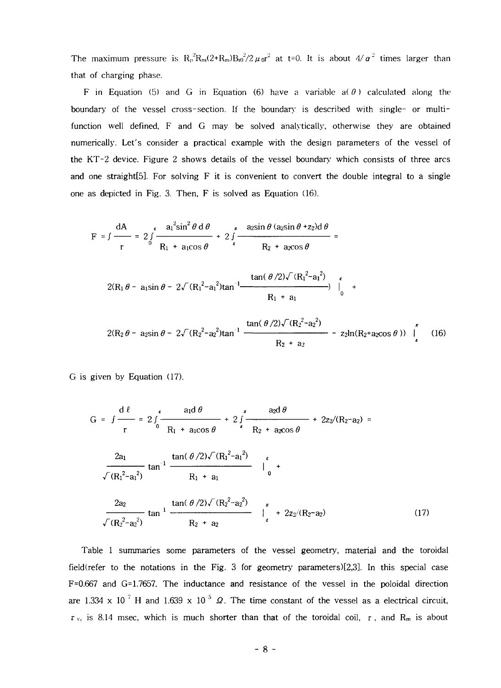The maximum pressure is  $R_p^2 R_m(2+R_m)B_0^2/2 \mu_0 r^2$  at t=0. It is about  $4/\alpha^2$  times larger than that of charging phase.

F in Equation (5) and G in Equation (6) have a variable  $a(0)$  calculated along the boundary of the vessel cross-section. If the boundary is described with single- or multifunction well defined, F and G may be solved analytically, otherwise they are obtained numerically. Let's consider a practical example with the design parameters of the vessel of the KT-2 device. Figure 2 shows details of the vessel boundary which consists of three arcs and one straight [5]. For solving  $F$  it is convenient to convert the double integral to a single one as depicted in Fig. 3. Then, F is solved as Equation (16).

$$
F = \int \frac{dA}{r} = 2 \int \frac{a_1^2 \sin^2 \theta \, d\theta}{R_1 + a_1 \cos \theta} + 2 \int \frac{a_2 \sin \theta (a_2 \sin \theta + a_2) d\theta}{R_2 + a_2 \cos \theta} =
$$
  

$$
2(R_1 \theta - a_1 \sin \theta - 2 \sqrt{(R_1^2 - a_1^2)} \tan^{-1} \frac{\tan(\theta/2) \sqrt{(R_1^2 - a_1^2)}}{R_1 + a_1} + \frac{R_1 + a_1}{R_1 + a_1} + \frac{\tan(\theta/2) \sqrt{(R_2^2 - a_2^2)}}{R_1 + a_1} =
$$
  

$$
2(R_2 \theta - a_2 \sin \theta - 2 \sqrt{(R_2^2 - a_2^2)} \tan^{-1} \frac{\tan(\theta/2) \sqrt{(R_2^2 - a_2^2)}}{R_1 + a_2} - \frac{a_2 \ln(R_2 + a_2 \cos \theta)}{R_1 + a_2 \cos \theta} =
$$
 (16)

 $R_2 + a_2$ 

G is given by Equation (17).

$$
G = \int \frac{d\ell}{r} = 2 \int_{0}^{\epsilon} \frac{a_{1}d\theta}{R_{1} + a_{1}cos\theta} + 2 \int_{\epsilon}^{\pi} \frac{a_{2}d\theta}{R_{2} + a_{2}cos\theta} + 2z/(R_{2}-a_{2}) =
$$
  

$$
\frac{2a_{1}}{\sqrt{(R_{1}^{2}-a_{1}^{2})}} \tan^{-1} \frac{\tan(\theta/2)\sqrt{(R_{1}^{2}-a_{1}^{2})}}{R_{1} + a_{1}} + \int_{0}^{\epsilon} +
$$
  

$$
\frac{2a_{2}}{\sqrt{(R_{2}^{2}-a_{2}^{2})}} \tan^{-1} \frac{\tan(\theta/2)\sqrt{(R_{2}^{2}-a_{2}^{2})}}{R_{2} + a_{2}} + \int_{\epsilon}^{\pi} + 2z/(R_{2}-a_{2}) \qquad (17)
$$

Table 1 summaries some parameters of the vessel geometry, material and the toroidal field(refer to the notations in the Fig. 3 for geometry parameters)[2,3]. In this special case F=0.667 and G=1.7657. The inductance and resistance of the vessel in the poloidal direction are 1.334 x 10<sup>7</sup> H and 1.639 x 10<sup>-5</sup>  $\Omega$ . The time constant of the vessel as a electrical circuit  $\tau$ <sub>v</sub>, is 8.14 msec, which is much shorter than that of the toroidal coil,  $\tau$ , and R<sub>m</sub> is about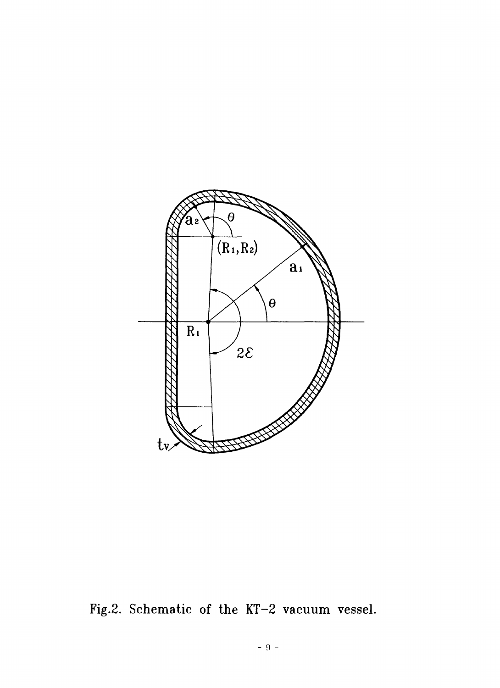

Fig.2. Schematic of the KT-2 vacuum vessel.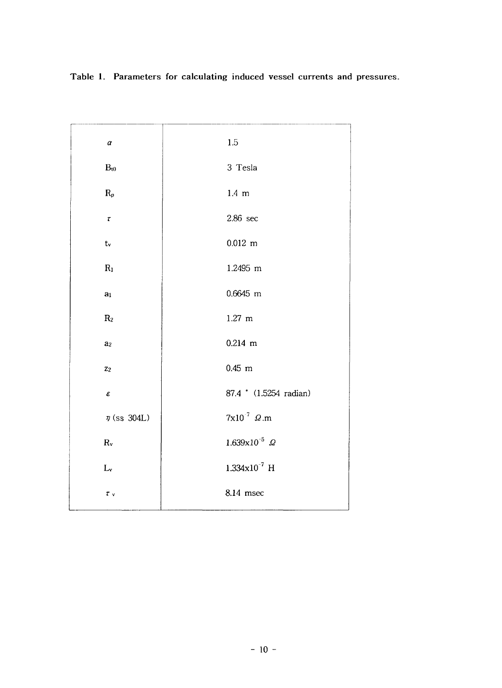| $\pmb{\alpha}$      | 1.5                               |
|---------------------|-----------------------------------|
| $B_{t0}$            | 3 Tesla                           |
| $R_p$               | 1.4~m                             |
| $\pmb{\tau}$        | $2.86 \text{ sec}$                |
| $t_{\rm v}$         | $0.012$ m                         |
| $R_1$               | 1.2495 m                          |
| a <sub>1</sub>      | 0.6645 m                          |
| $\rm R_2$           | $1.27$ m                          |
| a <sub>2</sub>      | $0.214$ m                         |
| $\mathbf{z}_2$      | $0.45$ m                          |
| $\pmb{\varepsilon}$ | 87.4 <sup>*</sup> (1.5254 radian) |
| $\eta$ (ss 304L)    | $7x10^{-7}$ $\Omega$ .m           |
| $R_{v}$             | $1.639x10^{-5}$ $\Omega$          |
| $L_v$               | $1.334 \times 10^{-7}$ H          |
| $\tau_{v}$          | 8.14 msec                         |

**Table 1. Parameters for calculating induced vessel currents and pressures.**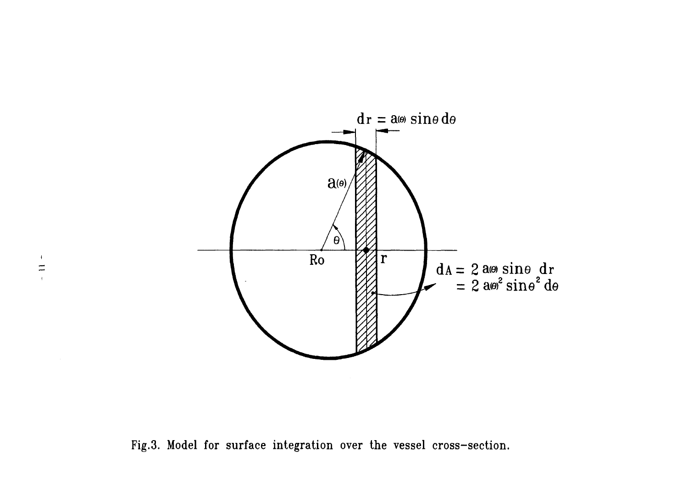

Fig.3. Model for surface integration over the vessel cross-section.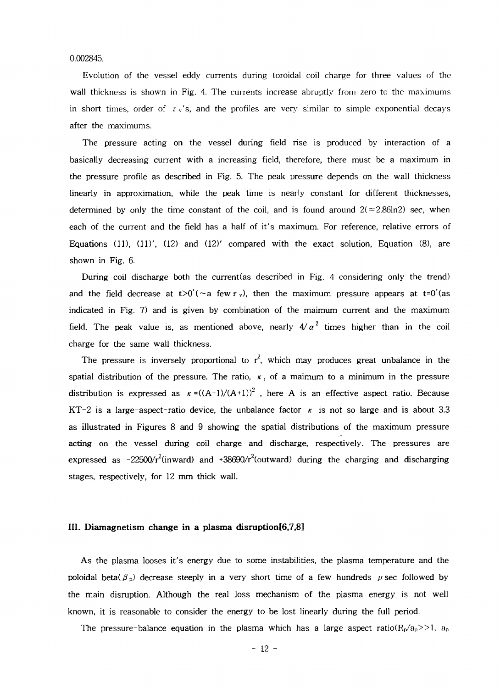0.002845.

Evolution of the vessel eddy currents during toroidal coil charge for three values of the wall thickness is shown in Fig. 4. The currents increase abruptly from zero to the maximums in short times, order of  $\tau$  v's, and the profiles are very similar to simple exponential decays after the maximums.

The pressure acting on the vessel during field rise is produced by interaction of a basically decreasing current with a increasing field, therefore, there must be a maximum in the pressure profile as described in Fig. 5. The peak pressure depends on the wall thickness linearly in approximation, while the peak time is nearly constant for different thicknesses, determined by only the time constant of the coil, and is found around  $2(\approx 2.86\text{ln}2)$  sec, when each of the current and the field has a half of it's maximum. For reference, relative errors of Equations (11),  $(11)'$ ,  $(12)$  and  $(12)'$  compared with the exact solution, Equation (8), are shown in Fig. 6.

During coil discharge both the current(as described in Fig. 4 considering only the trend) and the field decrease at  $t>0^{\prime}$  (~a few  $\tau$  v), then the maximum pressure appears at  $t=0^{\prime}$  (as indicated in Fig. 7) and is given by combination of the maimum current and the maximum field. The peak value is, as mentioned above, nearly  $4/\alpha^2$  times higher than in the coil charge for the same wall thickness.

The pressure is inversely proportional to  $r^2$ , which may produces great unbalance in the spatial distribution of the pressure. The ratio,  $\kappa$ , of a maimum to a minimum in the pressure distribution is expressed as  $\kappa = ((A-1)/(A+1))^2$ , here A is an effective aspect ratio. Because KT-2 is a large-aspect-ratio device, the unbalance factor  $\kappa$  is not so large and is about 3.3 as illustrated in Figures 8 and 9 showing the spatial distributions of the maximum pressure acting on the vessel during coil charge and discharge, respectively. The pressures are expressed as -22500/ $r^2$ (inward) and +38690/ $r^2$ (outward) during the charging and discharging stages, respectively, for 12 mm thick wall.

#### **III. Diamagnetism change in a plasma disruption[6,7,8]**

As the plasma looses it's energy due to some instabilities, the plasma temperature and the poloidal beta( $\beta_p$ ) decrease steeply in a very short time of a few hundreds  $\mu$  sec followed by the main disruption. Although the real loss mechanism of the plasma energy is not well known, it is reasonable to consider the energy to be lost linearly during the full period.

The pressure-balance equation in the plasma which has a large aspect ratio( $R_p/a_p$ ).  $a_p$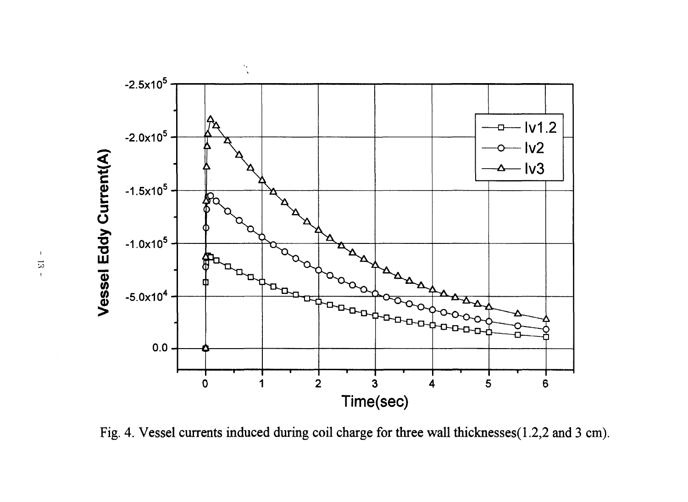

Fig. 4. Vessel currents induced during coil charge for three wall thicknesses(1.2,2 and 3 cm).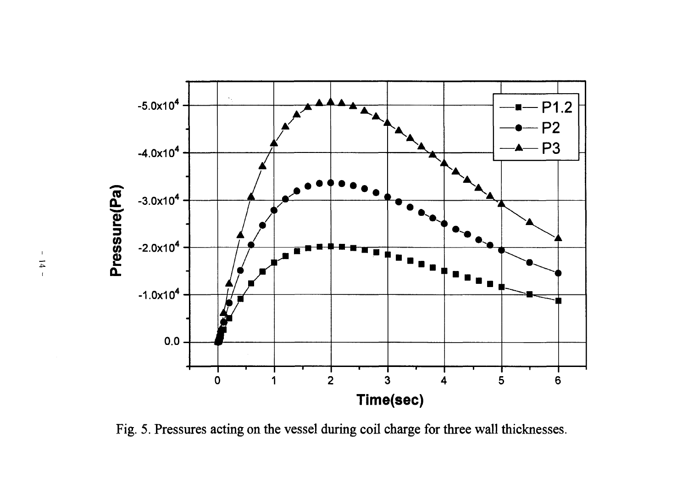![](_page_19_Figure_0.jpeg)

Fig. 5. Pressures acting on the vessel during coil charge for three wall thicknesses.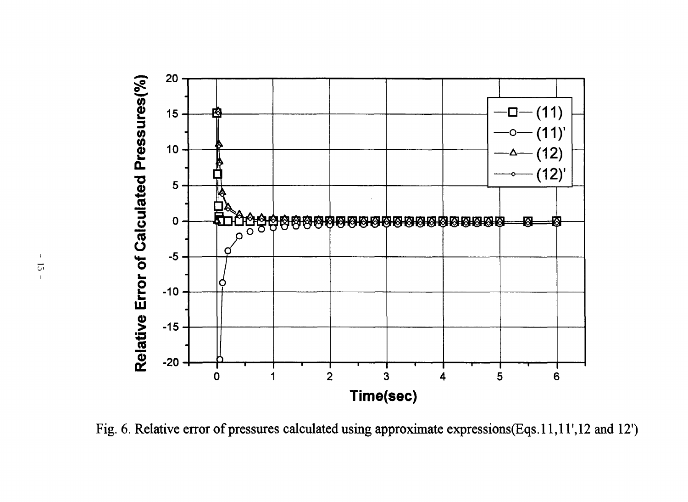![](_page_20_Figure_0.jpeg)

Fig. 6. Relative error of pressures calculated using approximate expressions(Eqs.11,11',12 and 12')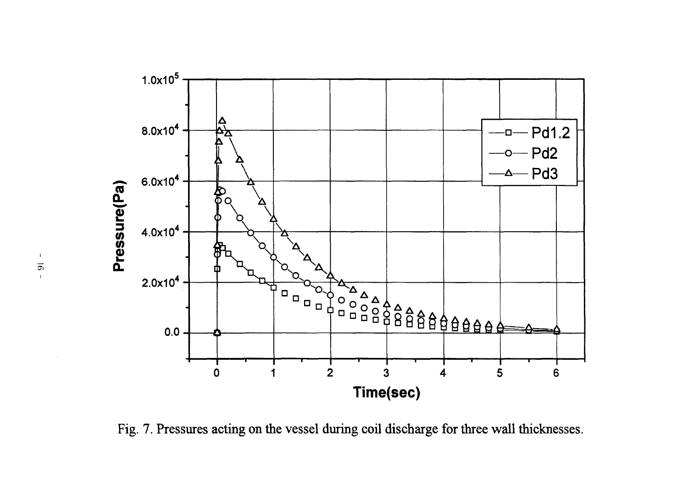![](_page_21_Figure_0.jpeg)

Fig. 7. Pressures acting on the vessel during coil discharge for three wall thicknesses.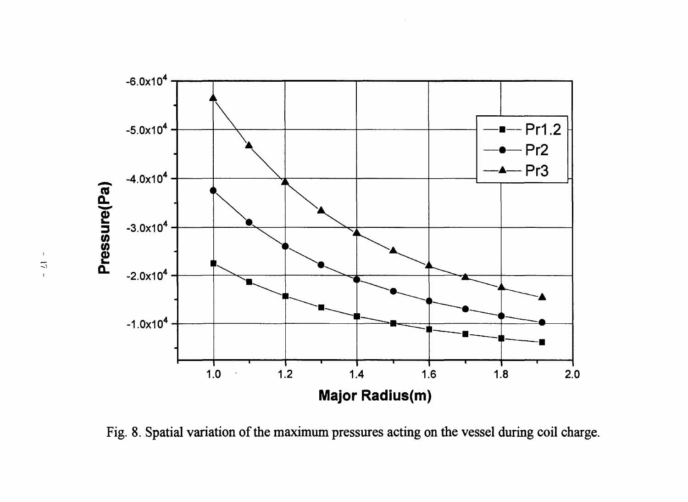![](_page_22_Figure_0.jpeg)

Fig. 8. Spatial variation of the maximum pressures acting on the vessel during coil charge.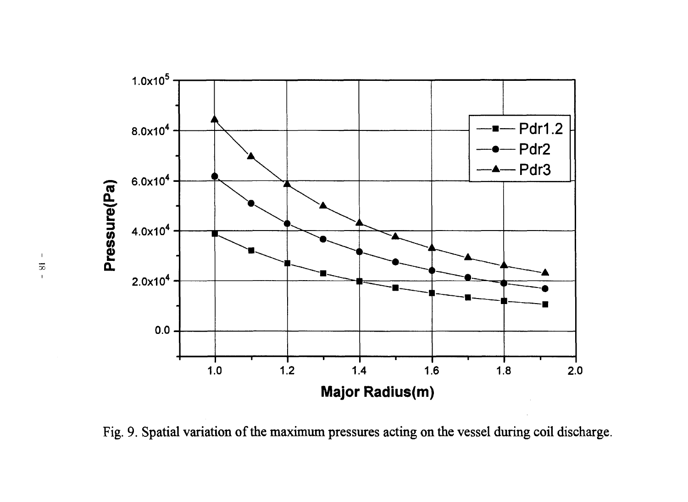![](_page_23_Figure_0.jpeg)

Fig. 9. Spatial variation of the maximum pressures acting on the vessel during coil discharge.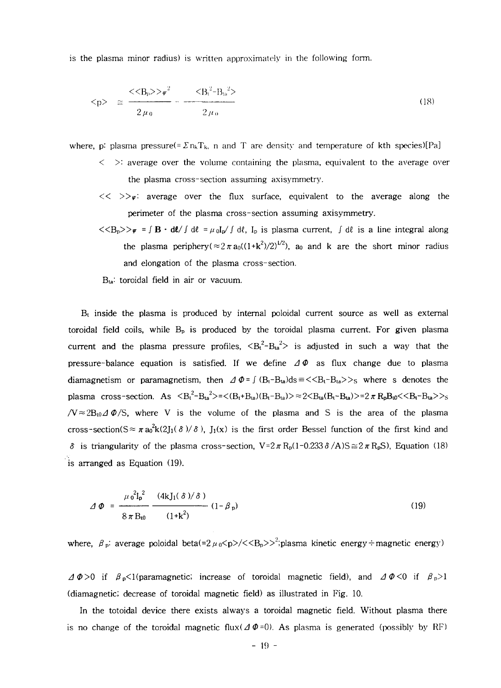is the plasma minor radius) is written approximately in the following form.

$$
\langle p \rangle \quad \cong \quad \frac{\langle \langle B_p \rangle \rangle \psi^2}{2 \mu_0} \quad \frac{\langle B_t^2 - B_{ta}^2 \rangle}{2 \mu_0} \tag{18}
$$

where, p: plasma pressure(=  $\sum n_kT_k$ , n and T are density and temperature of kth species)[Pa]

- $\leq$   $\geq$ : average over the volume containing the plasma, equivalent to the average over the plasma cross-section assuming axisymmetry.
- $\langle\langle\rangle\rangle_{\psi}$ : average over the flux surface, equivalent to the average along the perimeter of the plasma cross-section assuming axisymmetry.
- $\langle \langle B_p \rangle \rangle_{\psi} = \int \mathbf{B} \cdot d\ell / \int d\ell = \mu_0 I_p / \int d\ell$ ,  $I_p$  is plasma current,  $\int d\ell$  is a line integral along the plasma periphery( $\approx 2 \pi a_0((1+k^2)/2)^{1/2}$ ), a<sub>0</sub> and k are the short minor radius and elongation of the plasma cross-section.
- B<sub>ta</sub>: toroidal field in air or vacuum.

 $\rm B_{t}$  inside the plasma is produced by internal poloidal current source as well as external toroidal field coils, while  $B_p$  is produced by the toroidal plasma current. For given plasma current and the plasma pressure profiles,  $\langle B_t^2 - B_{ta}^2 \rangle$  is adjusted in such a way that the pressure-balance equation is satisfied. If we define  $\Delta \Phi$  as flux change due to plasma diamagnetism or paramagnetism, then  $\Delta \Phi = \int (B_t - B_{ta})ds = \langle \langle B_t - B_{ta} \rangle \rangle$  where s denotes the plasma cross-section. As  $\langle B_t^2 - B_{ta}^2 \rangle = \langle (B_t + B_{ta})(B_t - B_{ta}) \rangle = 2 \langle B_{ta}(B_t - B_{ta}) \rangle = 2 \pi R_p B_0 \langle \langle B_t - B_{ta} \rangle \rangle$  $/V \approx 2B_0 \Delta \Phi/S$ , where V is the volume of the plasma and S is the area of the plasma cross-section( $S \approx \pi a_0^2 k(2J_1(\delta)/\delta)$ ,  $J_1(x)$  is the first order Bessel function of the first kind and  $\delta$  is triangularity of the plasma cross-section,  $V = 2\pi R_p(1 - 0.233 \delta/A)S \approx 2\pi R_pS$ ), Equation (18) is arranged as Equation (19).

$$
\Delta \Phi = \frac{\mu_0^2 I_p^2}{8 \pi B_{i0}} \frac{(4k J_1(\delta)/\delta)}{(1+k^2)} (1-\beta_p)
$$
(19)

where,  $\beta$   $_p$ : average poloidal beta(=2  $\mu$   $_0$ <p>/<<B<sub>p</sub>>><sup>2</sup>;plasma kinetic energy÷magnetic energy)

 $\Delta \Phi > 0$  if  $\beta_p < 1$  (paramagnetic; increase of toroidal magnetic field), and  $\Delta \Phi < 0$  if  $\beta_p > 1$ (diamagnetic; decrease of toroidal magnetic field) as illustrated in Fig. 10.

In the totoidal device there exists always a toroidal magnetic field. Without plasma there is no change of the toroidal magnetic flux( $\Delta \Phi = 0$ ). As plasma is generated (possibly by RF)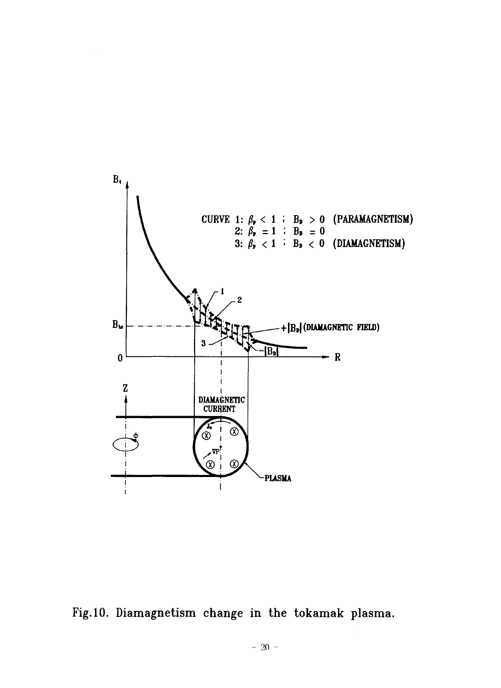![](_page_25_Figure_0.jpeg)

Fig.10. Diamagnetism change in the tokamak plasma.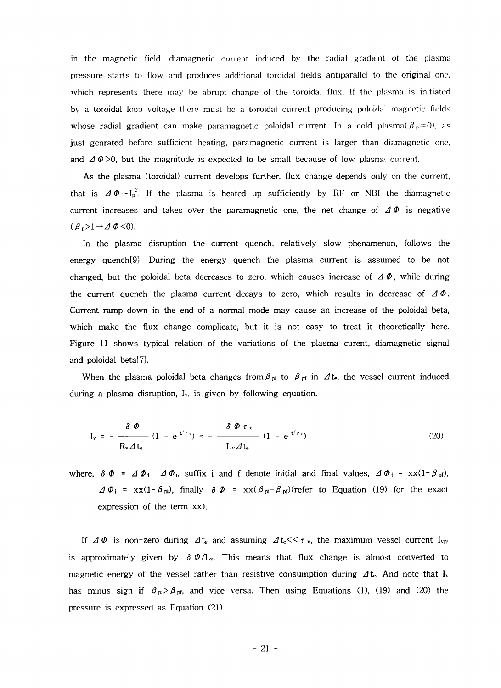in the magnetic field, diamagnetic current induced by the radial gradient of the plasma pressure starts to flow and produces additional toroidal fields antiparallel to the original one. which represents there may be abrupt change of the toroidal flux. If the plasma is initiated by a toroidal loop voltage there must be a toroidal current producing poloidal magnetic fields whose radial gradient can make paramagnetic poloidal current. In a cold plasma( $\beta_p \approx 0$ ), as just genrated before sufficient heating, paramagnetic current is larger than diamagnetic one, and  $\Delta \varphi > 0$ , but the magnitude is expected to be small because of low plasma current.

As the plasma (toroidal) current develops further, flux change depends only on the current, that is  $\Delta\Phi \sim I_{\rm p}^{\rm 2}$ . If the plasma is heated up sufficiently by RF or NBI the diamagnetic current increases and takes over the paramagnetic one, the net change of  $\Delta \Phi$  is negative  $(\beta_p>1 \rightarrow \Delta \Phi<0).$ 

In the plasma disruption the current quench, relatively slow phenamenon, follows the energy quench[9]. During the energy quench the plasma current is assumed to be not changed, but the poloidal beta decreases to zero, which causes increase of  $\Delta \Phi$ , while during the current quench the plasma current decays to zero, which results in decrease of  $\Delta \Phi$ . Current ramp down in the end of a normal mode may cause an increase of the poloidal beta, which make the flux change complicate, but it is not easy to treat it theoretically here. Figure 11 shows typical relation of the variations of the plasma curent, diamagnetic signal and poloidal beta[7].

When the plasma poloidal beta changes from  $\beta_{pi}$  to  $\beta_{pf}$  in  $\Delta t_e$ , the vessel current induced during a plasma disruption,  $I_v$ , is given by following equation.

$$
I_v = -\frac{\delta \Phi}{R_v \Delta t_e} (1 - e^{t/r_v}) = -\frac{\delta \Phi \tau_v}{L_v \Delta t_e} (1 - e^{t/r_v})
$$
(20)

where,  $\delta \Phi = \Delta \Phi_f - \Delta \Phi_i$ , suffix i and f denote initial and final values,  $\Delta \Phi_f = x x(1-\beta_{pf})$ ,  $\Delta \Phi_i$  = xx(1- $\beta_{pi}$ ), finally  $\delta \Phi$  = xx( $\beta_{pi}$ - $\beta_{pi}$ )(refer to Equation (19) for the exact expression of the term xx).

If  $\Delta \Phi$  is non-zero during  $\Delta t_e$  and assuming  $\Delta t_e \ll \tau_v$ , the maximum vessel current I<sub>vm</sub> is approximately given by  $\delta \phi / L_v$ . This means that flux change is almost converted to magnetic energy of the vessel rather than resistive consumption during  $\Delta t_e$ . And note that I<sub>v</sub> has minus sign if  $\beta_{pi} > \beta_{pf}$ , and vice versa. Then using Equations (1), (19) and (20) the pressure is expressed as Equation (21).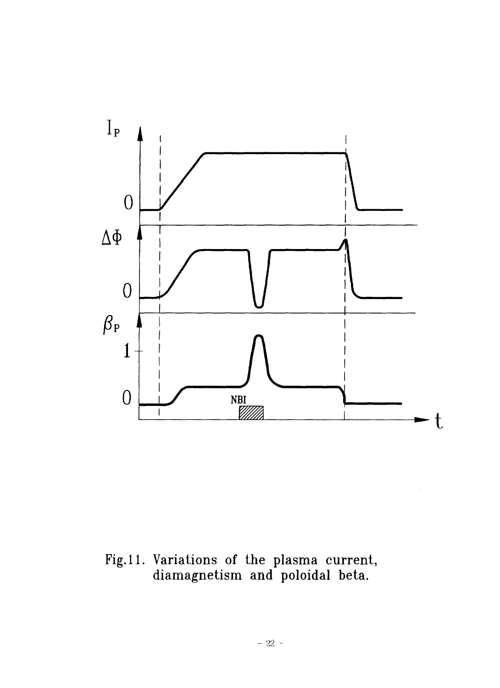![](_page_27_Figure_0.jpeg)

Fig. 11. Variations of the plasma current, diamagnetism and poloidal beta.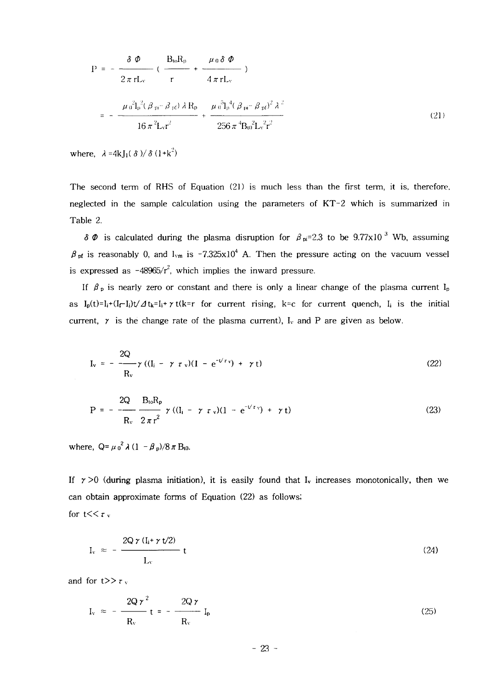$$
P = -\frac{\delta \Phi}{2\pi rL_v} \left( \frac{B_{to}R_p}{r} + \frac{\mu_0 \delta \Phi}{4\pi rL_v} \right)
$$
  

$$
= -\frac{\mu_0^2 I_p^2 (\beta_{pi} - \beta_{pi}) \lambda R_p}{16\pi^2 L_v r^2} + \frac{\mu_0^5 I_p^4 (\beta_{pi} - \beta_{pi})^2 \lambda^2}{256\pi^4 B_0^2 L_v^2 r^2}
$$
(21)

where,  $\lambda = 4kJ_1(\delta)/\delta(1+k^2)$ 

The second term of RHS of Equation (21) is much less than the first term, it is, therefore, neglected in the sample calculation using the parameters of  $KT-2$  which is summarized in Table 2.

 $\delta \varPhi$  is calculated during the plasma disruption for  $\beta_{pi}=2.3$  to be 9.77x10<sup>3</sup> Wb, assuming  $\beta$  <sub>pf</sub> is reasonably 0, and l<sub>vm</sub> is -7.325x10<sup>4</sup> A. Then the pressure acting on the vacuum vessel is expressed as  $-48965/r^2$ , which implies the inward pressure.

If  $\beta_p$  is nearly zero or constant and there is only a linear change of the plasma current  $I_p$ as  $I_p(t)=I_i+(I_f-I_i)t/\Delta t_k=I_i+\gamma t(k=r$  for current rising, k=c for current quench,  $I_i$  is the initial current,  $\gamma$  is the change rate of the plasma current),  $I_v$  and P are given as below.

$$
I_v = -\frac{2Q}{R_v} \gamma ((I_i - \gamma \tau_v)(1 - e^{-U \tau_v}) + \gamma t)
$$
 (22)

$$
P = -\frac{2Q}{R_v} \frac{B_{to}R_p}{2\pi r^2} \gamma ((I_i - \gamma \tau_v)(1 - e^{-V\tau_v}) + \gamma t)
$$
 (23)

where,  $Q = \mu_0^2 \lambda (1 - \beta_p)/8 \pi B_{10}$ .

If  $\gamma > 0$  (during plasma initiation), it is easily found that I<sub>v</sub> increases monotonically, then we can obtain approximate forms of Equation (22) as follows; for t $<<$ r  $<$ 

$$
I_v \approx -\frac{2Q \gamma (I_i + \gamma t/2)}{L_v} t \tag{24}
$$

and for  $t>>r_v$ 

$$
I_v \approx -\frac{2Q\,\gamma^2}{R_v} \,t = -\frac{2Q\,\gamma}{R_v} \,I_p \tag{25}
$$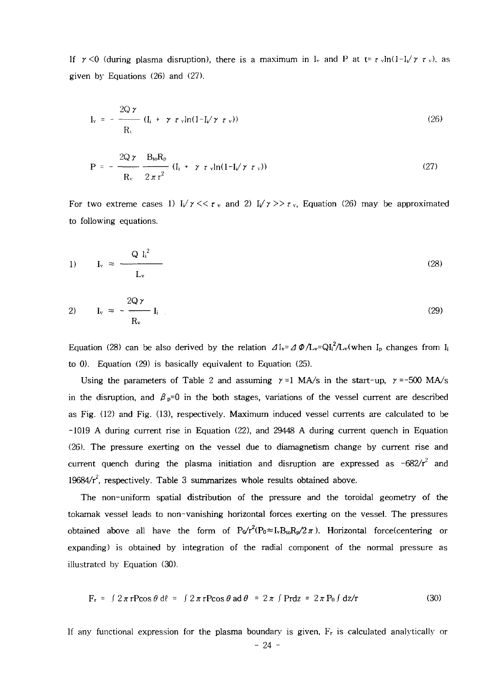If  $\gamma$  <0 (during plasma disruption), there is a maximum in I<sub>v</sub> and P at  $t = \tau \sqrt{\ln(1-1/\gamma \tau)}$ , as given by Equations (26) and (27).

$$
I_{v} = -\frac{2Q\gamma}{R_{v}} (I_{i} + \gamma \tau_{v}) n(1 - I_{i} / \gamma \tau_{v}))
$$
\n(26)

$$
P = -\frac{2Q\gamma}{R_v} \frac{B_{\text{to}}R_p}{2\pi r^2} (I_i + \gamma \tau_v \ln(1 - I_i/\gamma \tau_v))
$$
 (27)

For two extreme cases 1)  $I_v/\gamma \ll r_v$  and 2)  $I_v/\gamma \gg r_v$ , Equation (26) may be approximated to following equations.

$$
I_v \approx \frac{Q I_i^2}{L_v} \tag{28}
$$

$$
I_v \approx -\frac{2Q\gamma}{R_v} I_i \tag{29}
$$

Equation (28) can be also derived by the relation  $\Delta I_v = \Delta \Phi / L_v = Q I_i^2 / L_v$  (when  $I_p$  changes from  $I_i$ to 0). Equation (29) is basically equivalent to Equation (25).

Using the parameters of Table 2 and assuming  $\gamma = 1$  MA/s in the start-up,  $\gamma = -500$  MA/s in the disruption, and  $\beta_{p}=0$  in the both stages, variations of the vessel current are described as Fig. (12) and Fig. (13), respectively. Maximum induced vessel currents are calculated to be -1019 A during current rise in Equation (22), and 29448 A during current quench in Equation (26). The pressure exerting on the vessel due to diamagnetism change by current rise and current quench during the plasma initiation and disruption are expressed as -682/ $r^2$  and 19684/ $r^2$ , respectively. Table 3 summarizes whole results obtained above.

The non-uniform spatial distribution of the pressure and the toroidal geometry of the tokamak vessel leads to non-vanishing horizontal forces exerting on the vessel. The pressures obtained above all have the form of  $P_0/r^2(P_0 \approx I_v B_{to} R_p/2\pi)$ . Horizontal force(centering or expanding) is obtained by integration of the radial component of the normal pressure as illustrated by Equation (30).

$$
F_r = \int 2\pi r \text{Pcos} \theta \, d\theta = \int 2\pi r \text{Pcos} \theta \, \text{ad} \theta = 2\pi \int \text{Prdz} = 2\pi \text{P}_0 \int dz/r \tag{30}
$$

If any functional expression for the plasma boundary is given,  $\mathrm{F}_\mathrm{r}$  is calculated analytically or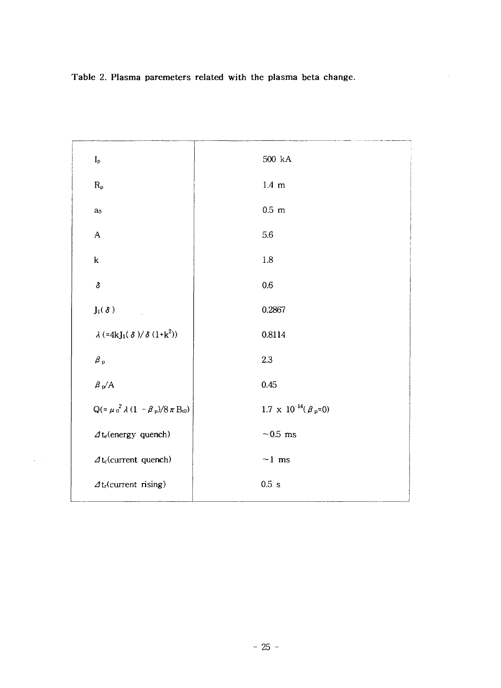**Table 2. Plasma paremeters related with the plasma beta change.**

![](_page_30_Figure_1.jpeg)

ä,

**- 25 -**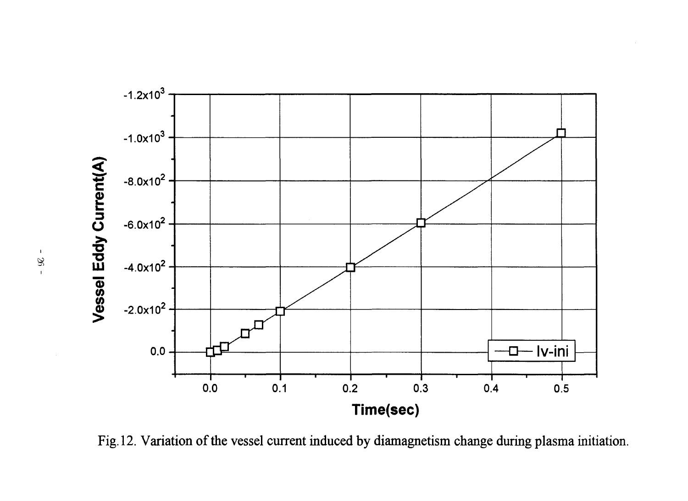![](_page_31_Figure_0.jpeg)

Fig. 12. Variation of the vessel current induced by diamagnetism change during plasma initiation.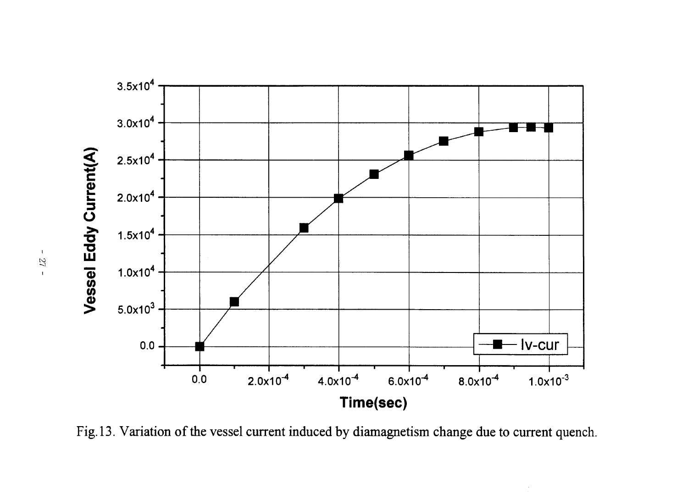![](_page_32_Figure_0.jpeg)

Fig. 13. Variation of the vessel current induced by diamagnetism change due to current quench.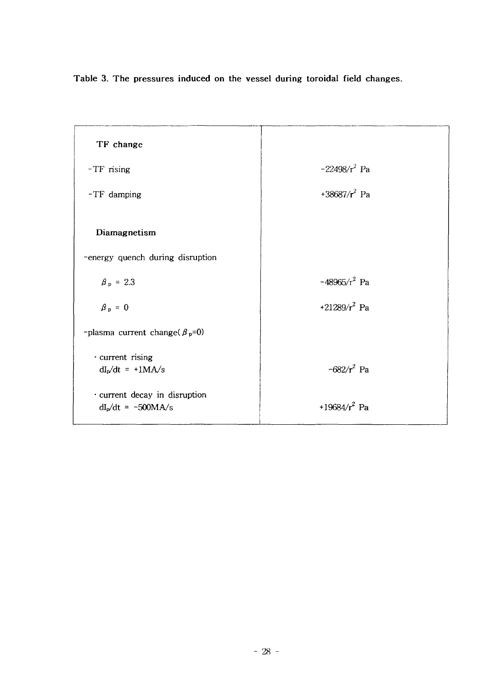**Table 3. The pressures induced on the vessel during toroidal field changes.**

| TF change                                             |                  |
|-------------------------------------------------------|------------------|
| $-TF$ rising                                          | $-22498/r^2$ Pa  |
| -TF damping                                           | +38687/ $r^2$ Pa |
| Diamagnetism                                          |                  |
| -energy quench during disruption                      |                  |
| $\beta_p = 2.3$                                       | $-48965/r^2$ Pa  |
| $\beta_p = 0$                                         | +21289/ $r^2$ Pa |
| -plasma current change( $\beta_p=0$ )                 |                  |
| · current rising<br>$dI_p/dt = +1MA/s$                | $-682/r^2$ Pa    |
| · current decay in disruption<br>$dI_p/dt = -500MA/s$ | +19684/ $r^2$ Pa |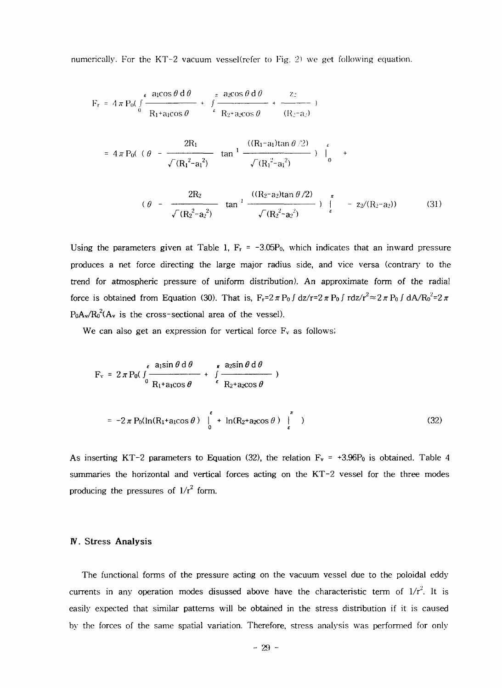numerically. For the KT-2 vacuum vessel(refer to Fig. 2) we get following equation.

$$
F_r = 4 \pi P_0 \left( \int \frac{\epsilon \arccos \theta \, d\theta}{R_1 + a_1 \cos \theta} + \int \frac{\pi \arccos \theta \, d\theta}{R_2 + a_2 \cos \theta} + \frac{z_2}{(R_2 - a_2)} \right)
$$

$$
= 4 \pi P_0( (\theta - \frac{2R_1}{\sqrt{(R_1^2 - a_1^2)}} \tan^{-1} \frac{((R_1 - a_1) \tan \theta / 2)}{\sqrt{(R_1^2 - a_1^2)}} ) \Big|_0^{\epsilon}
$$

$$
(\theta - \frac{2R_2}{\sqrt{(R_2^2 - a_2^2)}} \tan^{-1} \frac{((R_2 - a_2) \tan \theta / 2)}{\sqrt{(R_2^2 - a_2^2)}}) \Big|_{\epsilon}^{\pi} - z_2 / (R_2 - a_2) \tag{31}
$$

Using the parameters given at Table 1,  $F_r = -3.05P_0$ , which indicates that an inward pressure produces a net force directing the large major radius side, and vice versa (contrary to the trend for atmospheric pressure of uniform distribution). An approximate form of the radial force is obtained from Equation (30). That is,  $F_r = 2 \pi P_0 f \frac{dz}{r} = 2 \pi P_0 f \frac{dz}{r^2} \approx 2 \pi P_0 f \frac{dA}{R_0^2} = 2 \pi$  $P_0A_v/R_0^2(A_v)$  is the cross-sectional area of the vessel).

We can also get an expression for vertical force  $F_v$  as follows;

$$
F_v = 2 \pi P_0 \left( \int_0^{\epsilon} \frac{a_1 \sin \theta \, d\theta}{R_1 + a_1 \cos \theta} + \int_{\epsilon}^{\pi} \frac{a_2 \sin \theta \, d\theta}{R_2 + a_2 \cos \theta} \right)
$$
  
= -2 \pi P\_0 (\ln(R\_1 + a\_1 \cos \theta) \Big|\_0^{\epsilon} + \ln(R\_2 + a\_2 \cos \theta) \Big|\_{\epsilon}^{\pi} (32)

As inserting KT-2 parameters to Equation (32), the relation  $F_v = +3.96P_0$  is obtained. Table 4 summaries the horizontal and vertical forces acting on the KT-2 vessel for the three modes producing the pressures of  $1/r^2$  form.

### **IV. Stress Analysis**

The functional forms of the pressure acting on the vacuum vessel due to the poloidal eddy currents in any operation modes disussed above have the characteristic term of  $1/r^2$ . It is easily expected that similar patterns will be obtained in the stress distribution if it is caused by the forces of the same spatial variation. Therefore, stress analysis was performed for only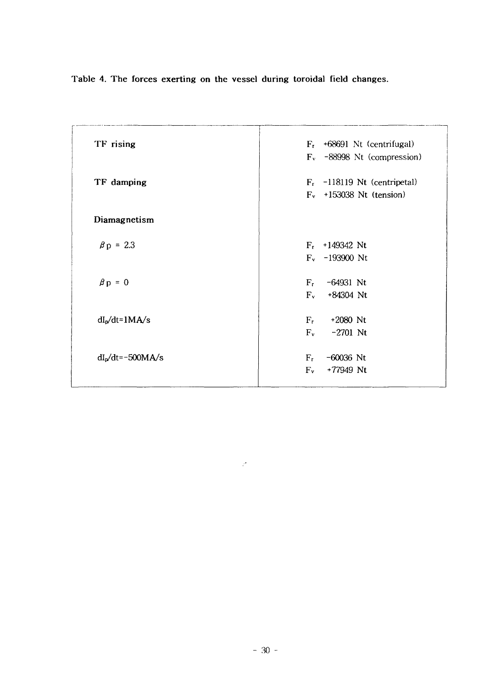**Table 4. The forces exerting on the** vessel **during toroidal field changes.**

| TF rising           | $F_r$ +68691 Nt (centrifugal)  |
|---------------------|--------------------------------|
|                     | $F_v$ -88998 Nt (compression)  |
|                     |                                |
| TF damping          | $F_r$ -118119 Nt (centripetal) |
|                     | $F_v$ +153038 Nt (tension)     |
| Diamagnetism        |                                |
| $\beta p = 2.3$     | $F_r$ +149342 Nt               |
|                     | $F_v$ -193900 Nt               |
| $\beta p = 0$       | $F_{\rm r}$<br>$-64931$ Nt     |
|                     | $F_v$<br>+84304 Nt             |
|                     |                                |
| $dIp/dt=1MA/s$      | $F_r$<br>$+2080$ Nt            |
|                     | $F_v$<br>$-2701$ Nt            |
|                     |                                |
| $dIp/dt = -500MA/s$ | $-60036$ Nt<br>$F_r$           |
|                     | $F_v$<br>+77949 Nt             |

 $\mathcal{P}$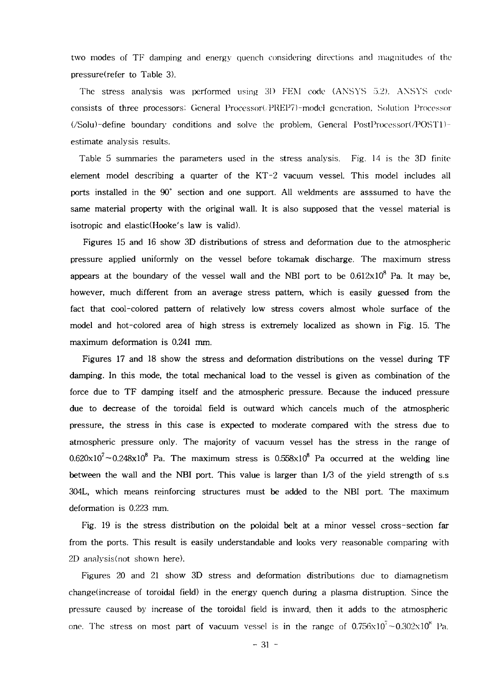two modes of TF damping and energy quench considering directions and magnitudes of the pressure(refer to Table 3).

The stress analysis was performed using 3D FEM code (ANSYS 5.2). AXSYS code consists of three processors! General Processor(/PREP7)-model generation, Solution Processor (/Solu)-define boundary conditions and solve the problem, General PostProcessor(/POSTl) estimate analysis results.

Table 5 summaries the parameters used in the stress analysis. Fig. 14 is the 3D finite element model describing a quarter of the KT-2 vacuum vessel. This model includes all ports installed in the 90° section and one support. All weldments are asssumed to have the same material property with the original wall. It is also supposed that the vessel material is isotropic and elastic(Hooke's law is valid).

Figures 15 and 16 show 3D distributions of stress and deformation due to the atmospheric pressure applied uniformly on the vessel before tokamak discharge. The maximum stress appears at the boundary of the vessel wall and the NBI port to be  $0.612 \mathrm{x} 10^8$  Pa. It may be, however, much different from an average stress pattern, which is easily guessed from the fact that cool-colored pattern of relatively low stress covers almost whole surface of the model and hot-colored area of high stress is extremely localized as shown in Fig. 15. The maximum deformation is 0.241 mm.

Figures 17 and 18 show the stress and deformation distributions on the vessel during TF damping. In this mode, the total mechanical load to the vessel is given as combination of the force due to TF damping itself and the atmospheric pressure. Because the induced pressure due to decrease of the toroidal field is outward which cancels much of the atmospheric pressure, the stress in this case is expected to moderate compared with the stress due to atmospheric pressure only. The majority of vacuum vessel has the stress in the range of  $0.620 \times 10^{7} \sim 0.248 \times 10^{8}$  Pa. The maximum stress is  $0.558 \times 10^{8}$  Pa occurred at the welding line between the wall and the NBI port. This value is larger than 1/3 of the yield strength of s.s 304L, which means reinforcing structures must be added to the NBI port. The maximum deformation is 0.223 mm.

Fig. 19 is the stress distribution on the poloidal belt at a minor vessel cross-section far from the ports. This result is easily understandable and looks very reasonable comparing with 2D analysis(not shown here).

Figures 20 and 21 show 3D stress and deformation distributions due to diamagnetism change (increase of toroidal field) in the energy quench during a plasma distruption. Since the pressure caused by increase of the toroidal field is inward, then it adds to the atmospheric one. The stress on most part of vacuum vessel is in the range of  $0.756 \times 10^7 \sim 0.302 \times 10^8$  Pa.

- 31 -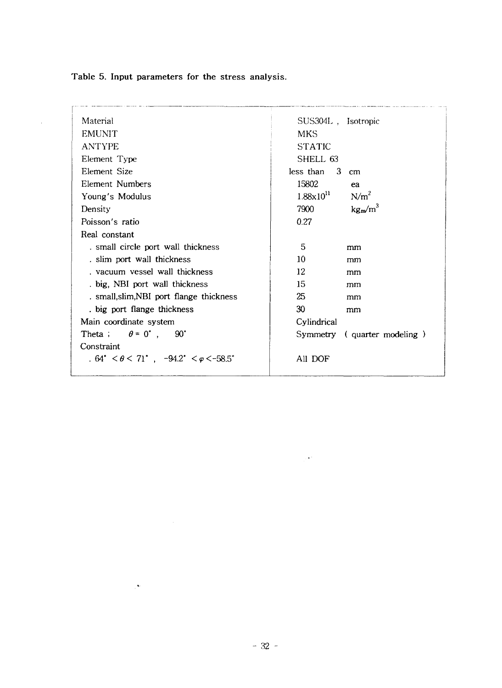**Table 5. Input parameters for the** stress **analysis.**

 $\sim$ 

| Material                                                                        | SUS304L, Isotropic                        |
|---------------------------------------------------------------------------------|-------------------------------------------|
| <b>EMUNIT</b>                                                                   | <b>MKS</b>                                |
| <b>ANTYPE</b>                                                                   | <b>STATIC</b>                             |
| Element Type                                                                    | SHELL 63                                  |
| Element Size                                                                    | less than $\,3\,$ cm                      |
| Element Numbers                                                                 | 15802<br>ea                               |
| Young's Modulus                                                                 | $1.88 \times 10^{11}$<br>N/m <sup>2</sup> |
| Density                                                                         | $kg_m/m^3$<br>7900                        |
| Poisson's ratio                                                                 | 0.27                                      |
| Real constant                                                                   |                                           |
| . small circle port wall thickness                                              | 5.<br>mm                                  |
| . slim port wall thickness                                                      | 10<br>mm                                  |
| , vacuum vessel wall thickness                                                  | 12<br>mm                                  |
| big, NBI port wall thickness                                                    | 15.<br>mm                                 |
| . small, slim, NBI port flange thickness                                        | 25<br>mm                                  |
| big port flange thickness                                                       | 30<br>mm                                  |
| Main coordinate system                                                          | Cylindrical                               |
| Theta; $\theta = 0^{\circ}$ , 90°                                               | Symmetry (quarter modeling)               |
| Constraint                                                                      |                                           |
| $.64^{\circ} < \theta < 71^{\circ}$ , $-94.2^{\circ} < \varphi < -58.5^{\circ}$ | All DOF                                   |
|                                                                                 |                                           |

 $\mathcal{C}^{\mathbf{A}\mathbf{c}}$ 

 $\mathbb{R}^{2\times 2}$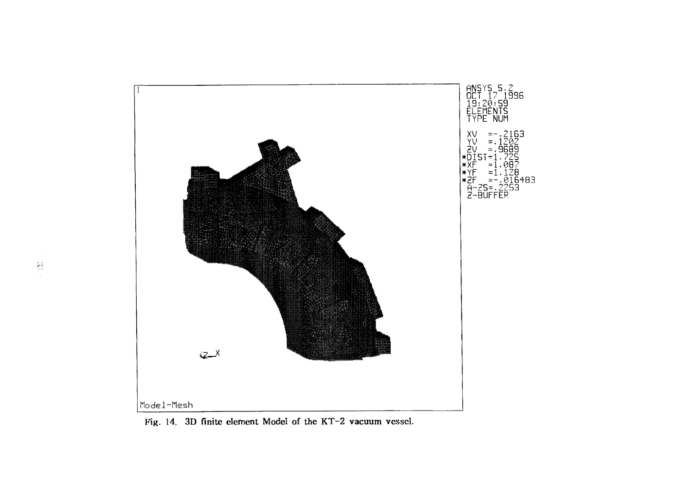![](_page_38_Figure_0.jpeg)

Fig. 14. 3D finite element Model of the KT-2 vacuum vessel.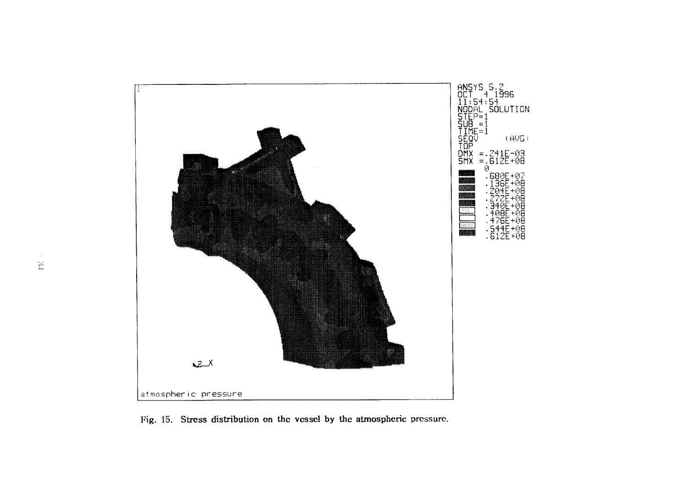![](_page_39_Figure_0.jpeg)

Fig. 15. Stress distribution on the vessel by the atmospheric pressure.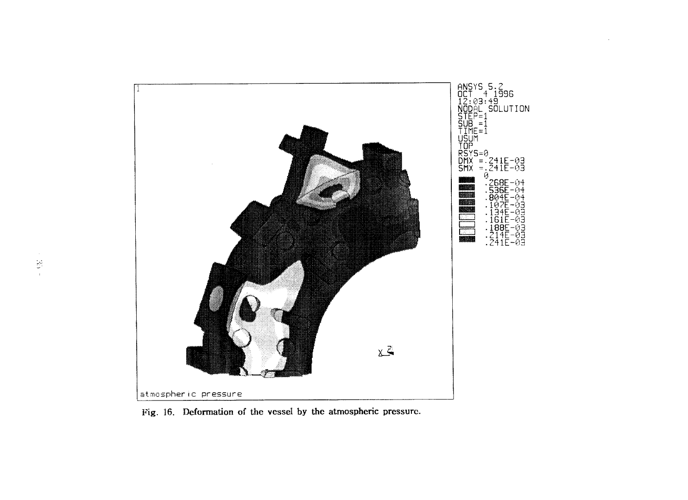![](_page_40_Figure_0.jpeg)

Fig. 16. Deformation of the vessel by the atmospheric pressure.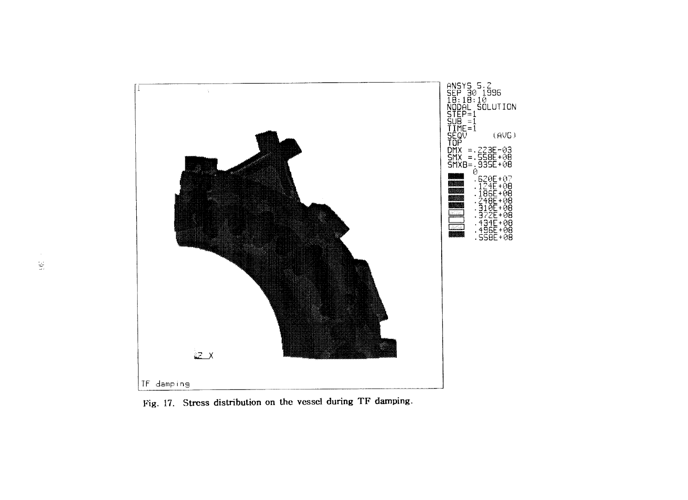![](_page_41_Figure_0.jpeg)

Fig. 17. Stress distribution on the vessel during TF damping.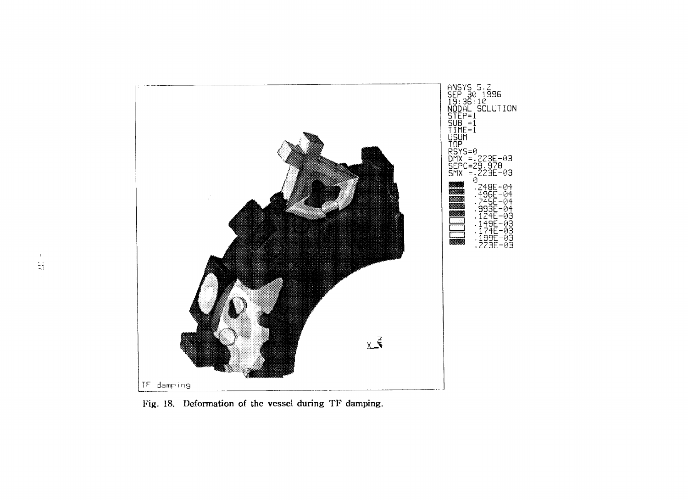![](_page_42_Figure_0.jpeg)

Fig. 18. Deformation of the vessel during TF damping.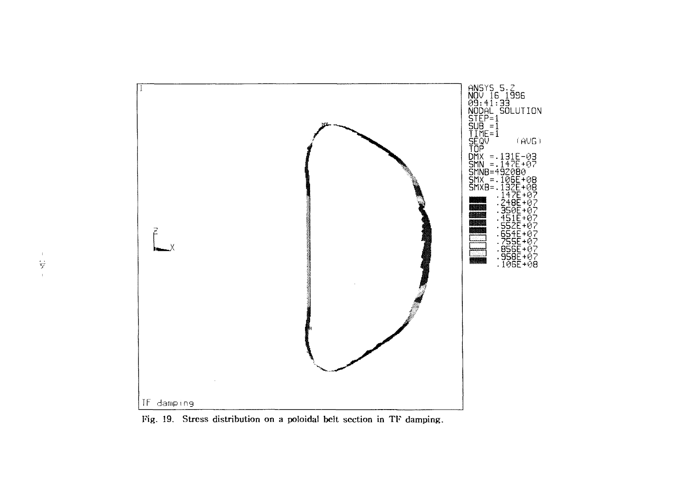![](_page_43_Figure_0.jpeg)

Fig. 19. Stress distribution on a poloidal belt section in TF damping.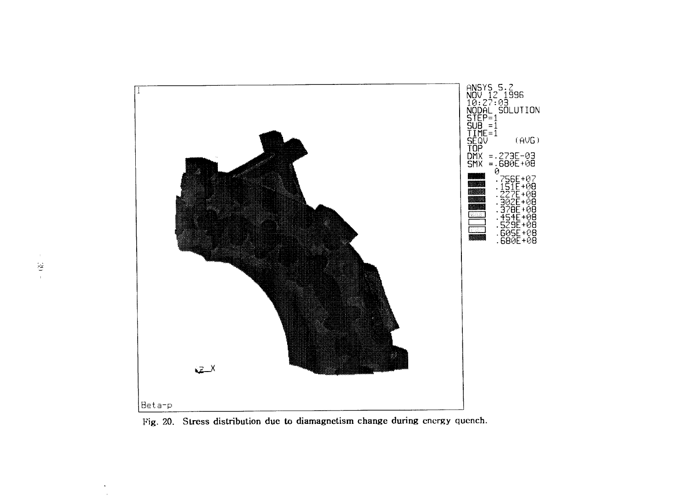![](_page_44_Figure_0.jpeg)

Fig. 20. Stress distribution due to diamagnetism change during energy quench.

 $\bullet$  $\sim$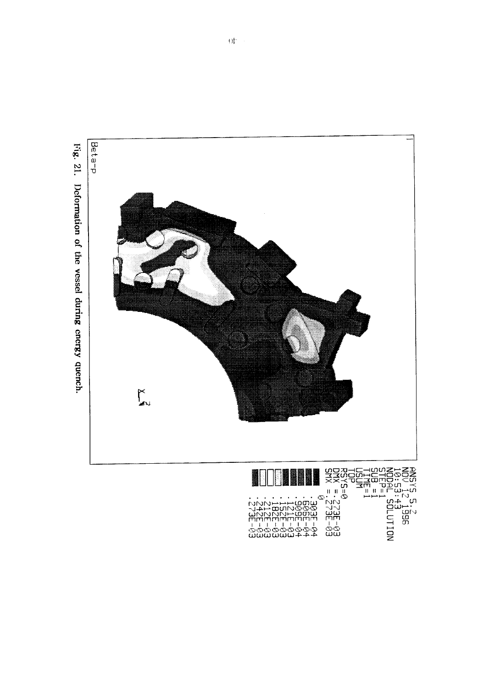![](_page_45_Figure_0.jpeg)

![](_page_45_Figure_1.jpeg)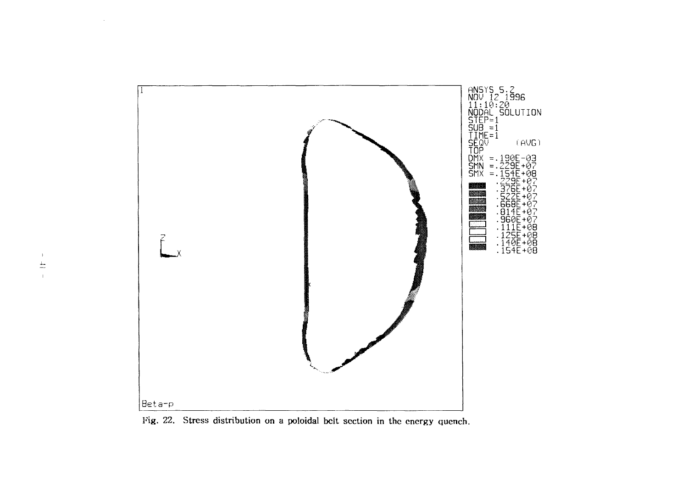![](_page_46_Figure_0.jpeg)

Fig. 22. Stress distribution on a poloidal belt section in the energy quench.

 $\sim$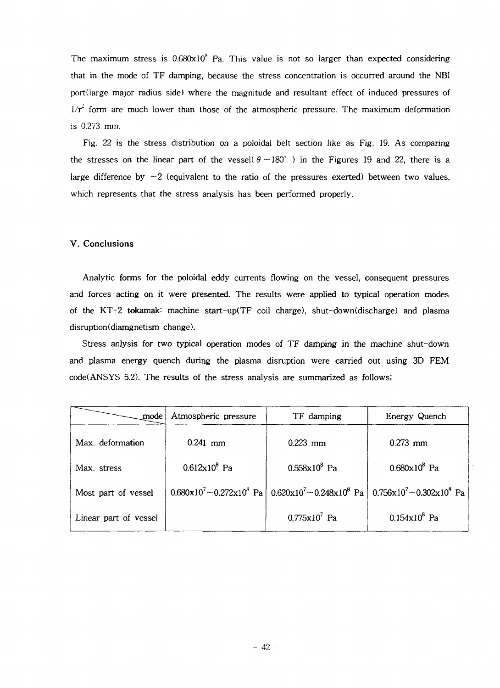The maximum stress is  $0.680x10^8$  Pa. This value is not so larger than expected considering that in the mode of TF damping, because the stress concentration is occurred around the NBI port(large major radius side) where the magnitude and resultant effect of induced pressures of  $1/r^2$  form are much lower than those of the atmospheric pressure. The maximum deformation is 0.273 mm.

Fig. 22 is the stress distribution *on* a poloidal belt section like as Fig. 19. As comparing the stresses on the linear part of the vessel( $\theta \sim 180^\circ$ ) in the Figures 19 and 22, there is a large difference by  $\sim$  2 (equivalent to the ratio of the pressures exerted) between two values, which represents that the stress analysis has been performed properly.

### V. Conclusions

Analytic forms for the poloidal eddy currents flowing on the vessel, consequent pressures and forces acting on it were presented. The results were applied to typical operation modes of the KT-2 tokamak: machine start-up(TF coil charge), shut-down(discharge) and plasma disruption(diamgnetism change).

Stress anlysis for two typical operation modes of TF damping in the machine shut-down and plasma energy quench during the plasma disruption were carried out using 3D FEM code(ANSYS 5.2). The results of the stress analysis are summarized as follows;

| mode                  | Atmospheric pressure   | TF damping                                                                                  | Energy Quench                                  |  |
|-----------------------|------------------------|---------------------------------------------------------------------------------------------|------------------------------------------------|--|
| Max. deformation      | $0.241$ mm             | $0.223$ mm                                                                                  | $0.273$ mm                                     |  |
| Max. stress           | $0.612 \times 10^8$ Pa | $0.558 \times 10^8$ Pa                                                                      | $0.680 \times 10^8$ Pa                         |  |
| Most part of vessel   |                        | $0.680 \times 10^7 - 0.272 \times 10^8$ Pa $\vert 0.620 \times 10^7 - 0.248 \times 10^8$ Pa | $0.756 \times 10^{7} - 0.302 \times 10^{8}$ Pa |  |
| Linear part of vessel |                        | $0.775 \times 10^7$ Pa                                                                      | $0.154x10^{8}$ Pa                              |  |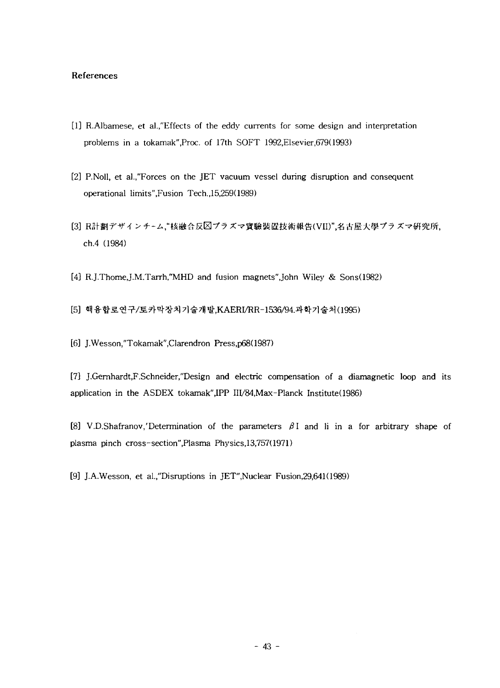## References

- [1] R.Albamese, et al.,"Effects of the eddy currents for some design and interpretation problems in a tokamak",Proc. of 17th SOFT 1992,Elsevier,679(1993)
- [2] P.Noll, et al.,"Forces on the JET vacuum vessel during disruption and consequent operational limits",Fusion Tech.,15,259(1989)
- [3] R計劃デザインチーム,"核融合反図プラズマ實驗裝置技術報告(VII)",名古屋大學プラズマ研究所, ch.4 (1984)
- [4] R.J.Thome,J.M.Tarrh,"MHD and fusion magnets",John Wiley & Sons(1982)
- [5] 핵융합로연구/토카막장치기술개발,KAERI/RR-1536/94.과학기술처(1995)
- [6] J.Wesson,"Tokamak",Clarendron Press,p68(1987)

[7] J.Gemhardt,F.Schneider,"Design and electric compensation of a diamagnetic loop and its application in the ASDEX tokamak",IPP III/84,Max-Planck Institute(1986)

[8] V.D.Shafranov,'Determination of the parameters  $\beta$ I and li in a for arbitrary shape of plasma pinch cross- section",Plasma Physics,13,757(1971)

[9] J.A.Wesson, et al./'Disruptions in JET",Nuclear Fusion,29,641(1989)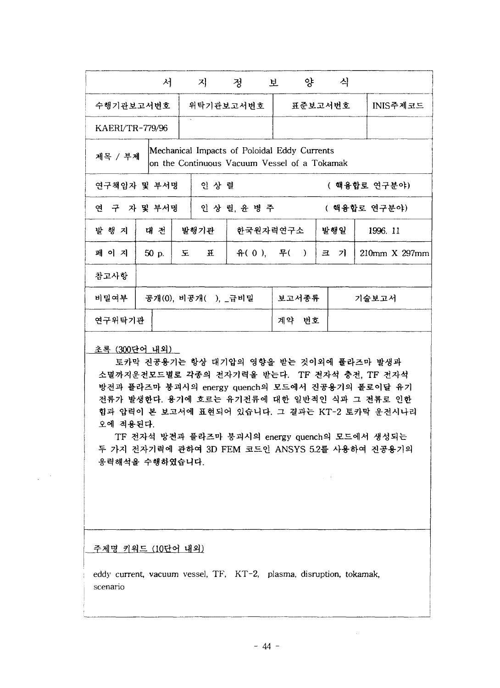|                 | 서                                                                                                       |                     | 지           | 정 보          |       |                  | 양 |       | 식        |               |
|-----------------|---------------------------------------------------------------------------------------------------------|---------------------|-------------|--------------|-------|------------------|---|-------|----------|---------------|
| 수행기관보고서번호       |                                                                                                         |                     | 위탁기관보고서번호   |              |       | 표준보고서번호          |   |       | INIS주제코드 |               |
| KAERI/TR-779/96 |                                                                                                         |                     |             |              |       |                  |   |       |          |               |
|                 | Mechanical Impacts of Poloidal Eddy Currents<br>제목 / 부제<br>on the Continuous Vacuum Vessel of a Tokamak |                     |             |              |       |                  |   |       |          |               |
|                 | 인 상 렬<br>연구책임자 및 부서명<br>( 핵융합로 연구분야)                                                                    |                     |             |              |       |                  |   |       |          |               |
| 연 구 자 및 부서명     |                                                                                                         |                     |             | 인 상 렬, 윤 병 주 |       |                  |   |       |          | ( 핵융합로 연구분야)  |
| 발 행 지           | 대 전                                                                                                     |                     | 발행기관        | 한국원자력연구소     |       |                  |   |       | 발행일      | 1996. 11      |
| 페 이 지           | 50 p.                                                                                                   | 도                   | $\mathbf H$ |              |       | 유 $(0),$ 무 $($ ) |   | 크     | 기        | 210mm X 297mm |
| 참고사항            |                                                                                                         |                     |             |              |       |                  |   |       |          |               |
| 비밀여부            |                                                                                                         | 공개(0), 비공개( ), _급비밀 |             |              |       | 보고서종류            |   | 기술보고서 |          |               |
|                 | 연구위탁기관                                                                                                  |                     |             |              | 계약 번호 |                  |   |       |          |               |

## 초록 (300단어 내외)

토카막 진공용기는 항상 대기압의 영향을 받는 것이외에 풀라즈마 발생과 TF <mark>전</mark>자석 충전, TF 방전과 플라즈마 붕괴시의 energy quench의 모드에서 진공용기의 폴로이달 유기 전류가 발생한다. 용기에 흐르는 유기전류에 대한 일반적인 식과 그 전류로 인한 힘과 압력이 본 보고서에 표현되어 있습니다. 그 결과는 KT-2 토카막 운전시나리 오에 적용된다.

TF 전자석 방전과 플라즈마 붕괴시의 energy quench의 3D FEM 코드인 ANSYS 5.2를 응력해석을 수행하였습니다.

<u>주제명 키워드 (10단어 내외)</u>

eddy current, vacuum vessel, TF, KT-2, plasma, disruption, tokamak, scenario